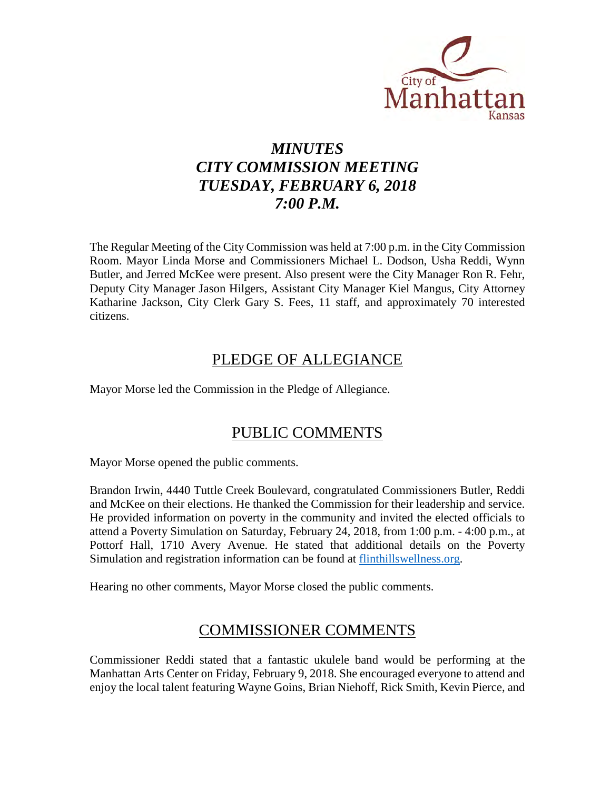

# *MINUTES CITY COMMISSION MEETING TUESDAY, FEBRUARY 6, 2018 7:00 P.M.*

The Regular Meeting of the City Commission was held at 7:00 p.m. in the City Commission Room. Mayor Linda Morse and Commissioners Michael L. Dodson, Usha Reddi, Wynn Butler, and Jerred McKee were present. Also present were the City Manager Ron R. Fehr, Deputy City Manager Jason Hilgers, Assistant City Manager Kiel Mangus, City Attorney Katharine Jackson, City Clerk Gary S. Fees, 11 staff, and approximately 70 interested citizens.

## PLEDGE OF ALLEGIANCE

Mayor Morse led the Commission in the Pledge of Allegiance.

## PUBLIC COMMENTS

Mayor Morse opened the public comments.

Brandon Irwin, 4440 Tuttle Creek Boulevard, congratulated Commissioners Butler, Reddi and McKee on their elections. He thanked the Commission for their leadership and service. He provided information on poverty in the community and invited the elected officials to attend a Poverty Simulation on Saturday, February 24, 2018, from 1:00 p.m. - 4:00 p.m., at Pottorf Hall, 1710 Avery Avenue. He stated that additional details on the Poverty Simulation and registration information can be found at [flinthillswellness.org.](file://comfs/server/CClerk/Public/Minutes/CityCommission/2018/flinthillswellness.org)

Hearing no other comments, Mayor Morse closed the public comments.

## COMMISSIONER COMMENTS

Commissioner Reddi stated that a fantastic ukulele band would be performing at the Manhattan Arts Center on Friday, February 9, 2018. She encouraged everyone to attend and enjoy the local talent featuring Wayne Goins, Brian Niehoff, Rick Smith, Kevin Pierce, and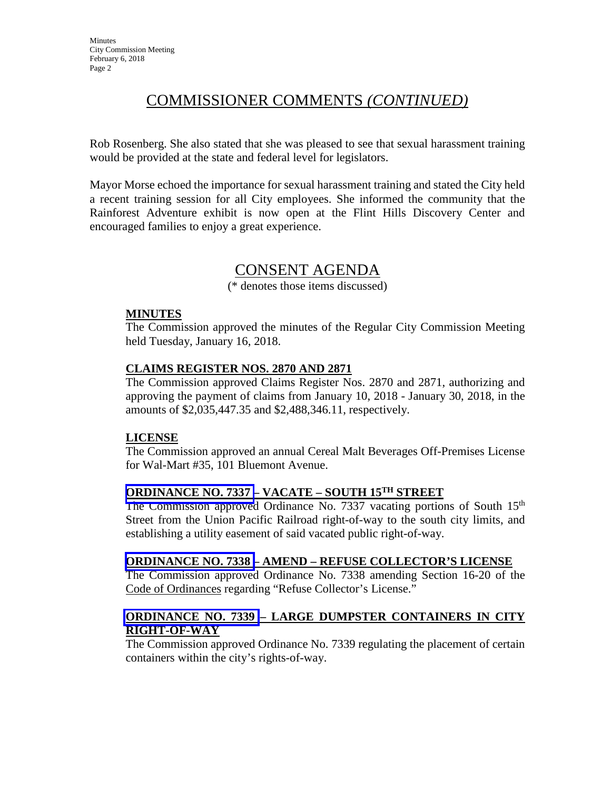# COMMISSIONER COMMENTS *(CONTINUED)*

Rob Rosenberg. She also stated that she was pleased to see that sexual harassment training would be provided at the state and federal level for legislators.

Mayor Morse echoed the importance for sexual harassment training and stated the City held a recent training session for all City employees. She informed the community that the Rainforest Adventure exhibit is now open at the Flint Hills Discovery Center and encouraged families to enjoy a great experience.

## CONSENT AGENDA

(\* denotes those items discussed)

#### **MINUTES**

The Commission approved the minutes of the Regular City Commission Meeting held Tuesday, January 16, 2018.

#### **CLAIMS REGISTER NOS. 2870 AND 2871**

The Commission approved Claims Register Nos. 2870 and 2871, authorizing and approving the payment of claims from January 10, 2018 - January 30, 2018, in the amounts of \$2,035,447.35 and \$2,488,346.11, respectively.

#### **LICENSE**

The Commission approved an annual Cereal Malt Beverages Off-Premises License for Wal-Mart #35, 101 Bluemont Avenue.

## **ORDINANCE NO. 7337 – VACATE – SOUTH 15TH STREET**

The Commission approved Ordinance No. 7337 vacating portions of South 15<sup>th</sup> Street from the Union Pacific Railroad right-of-way to the south city limits, and establishing a utility easement of said vacated public right-of-way.

#### **ORDINANCE NO. 7338 – AMEND – REFUSE COLLECTOR'S LICENSE**

The Commission approved Ordinance No. 7338 amending Section 16-20 of the Code of Ordinances regarding "Refuse Collector's License."

### **ORDINANCE NO. 7339 – LARGE DUMPSTER CONTAINERS IN CITY RIGHT-OF-WAY**

The Commission approved Ordinance No. 7339 regulating the placement of certain containers within the city's rights-of-way.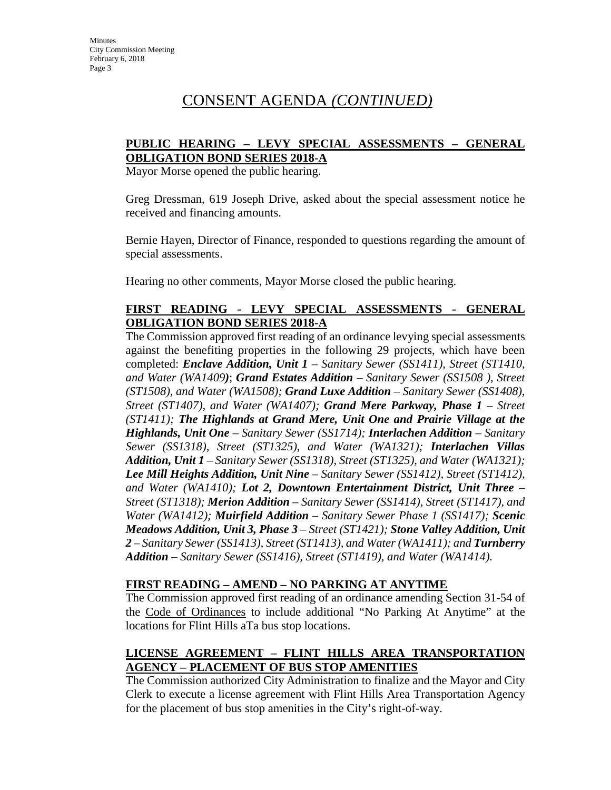# CONSENT AGENDA *(CONTINUED)*

### **PUBLIC HEARING – LEVY SPECIAL ASSESSMENTS – GENERAL OBLIGATION BOND SERIES 2018-A**

Mayor Morse opened the public hearing.

Greg Dressman, 619 Joseph Drive, asked about the special assessment notice he received and financing amounts.

Bernie Hayen, Director of Finance, responded to questions regarding the amount of special assessments.

Hearing no other comments, Mayor Morse closed the public hearing.

### **FIRST READING - LEVY SPECIAL ASSESSMENTS - GENERAL OBLIGATION BOND SERIES 2018-A**

The Commission approved first reading of an ordinance levying special assessments against the benefiting properties in the following 29 projects, which have been completed: *Enclave Addition, Unit 1 – Sanitary Sewer (SS1411), Street (ST1410, and Water (WA1409)*; *Grand Estates Addition – Sanitary Sewer (SS1508 ), Street (ST1508), and Water (WA1508); Grand Luxe Addition* – *Sanitary Sewer (SS1408), Street (ST1407), and Water (WA1407); Grand Mere Parkway, Phase 1* – *Street (ST1411); The Highlands at Grand Mere, Unit One and Prairie Village at the Highlands, Unit One* – *Sanitary Sewer (SS1714); Interlachen Addition – Sanitary Sewer (SS1318), Street (ST1325), and Water (WA1321); Interlachen Villas Addition, Unit 1 – Sanitary Sewer (SS1318), Street (ST1325), and Water (WA1321); Lee Mill Heights Addition, Unit Nine – Sanitary Sewer (SS1412), Street (ST1412), and Water (WA1410); Lot 2, Downtown Entertainment District, Unit Three – Street (ST1318); Merion Addition – Sanitary Sewer (SS1414), Street (ST1417), and Water (WA1412); Muirfield Addition – Sanitary Sewer Phase 1 (SS1417); Scenic Meadows Addition, Unit 3, Phase 3 – Street (ST1421); Stone Valley Addition, Unit*  2 – Sanitary Sewer (SS1413), Street (ST1413), and Water (WA1411); and **Turnberry** *Addition – Sanitary Sewer (SS1416), Street (ST1419), and Water (WA1414).*

#### **FIRST READING – AMEND – NO PARKING AT ANYTIME**

The Commission approved first reading of an ordinance amending Section 31-54 of the Code of Ordinances to include additional "No Parking At Anytime" at the locations for Flint Hills aTa bus stop locations.

## **LICENSE AGREEMENT – FLINT HILLS AREA TRANSPORTATION AGENCY – PLACEMENT OF BUS STOP AMENITIES**

The Commission authorized City Administration to finalize and the Mayor and City Clerk to execute a license agreement with Flint Hills Area Transportation Agency for the placement of bus stop amenities in the City's right-of-way.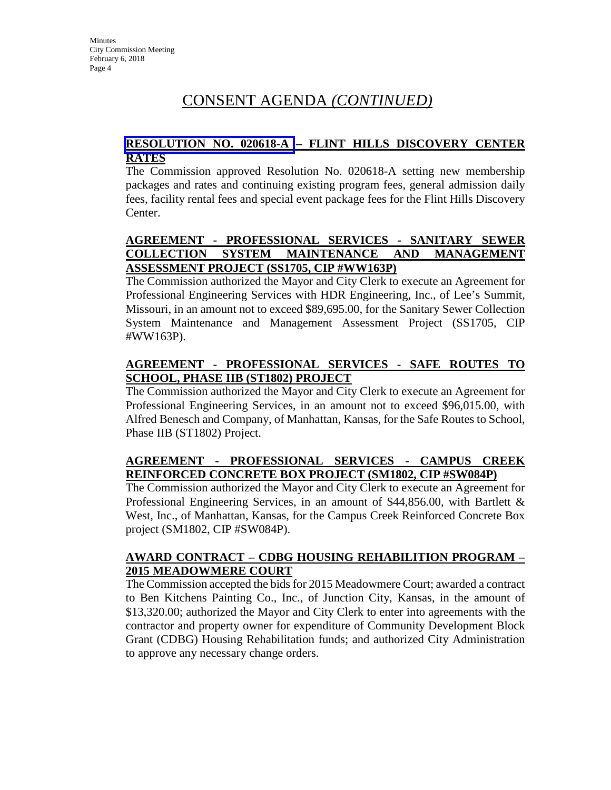# CONSENT AGENDA *(CONTINUED)*

#### **RESOLUTION NO. 020618-A – FLINT HILLS DISCOVERY CENTER RATES**

The Commission approved Resolution No. 020618-A setting new membership packages and rates and continuing existing program fees, general admission daily fees, facility rental fees and special event package fees for the Flint Hills Discovery Center.

## **AGREEMENT - PROFESSIONAL SERVICES - SANITARY SEWER COLLECTION SYSTEM MAINTENANCE AND MANAGEMENT ASSESSMENT PROJECT (SS1705, CIP #WW163P)**

The Commission authorized the Mayor and City Clerk to execute an Agreement for Professional Engineering Services with HDR Engineering, Inc., of Lee's Summit, Missouri, in an amount not to exceed \$89,695.00, for the Sanitary Sewer Collection System Maintenance and Management Assessment Project (SS1705, CIP #WW163P).

## **AGREEMENT - PROFESSIONAL SERVICES - SAFE ROUTES TO SCHOOL, PHASE IIB (ST1802) PROJECT**

The Commission authorized the Mayor and City Clerk to execute an Agreement for Professional Engineering Services, in an amount not to exceed \$96,015.00, with Alfred Benesch and Company, of Manhattan, Kansas, for the Safe Routes to School, Phase IIB (ST1802) Project.

## **AGREEMENT - PROFESSIONAL SERVICES - CAMPUS CREEK REINFORCED CONCRETE BOX PROJECT (SM1802, CIP #SW084P)**

The Commission authorized the Mayor and City Clerk to execute an Agreement for Professional Engineering Services, in an amount of \$44,856.00, with Bartlett & West, Inc., of Manhattan, Kansas, for the Campus Creek Reinforced Concrete Box project (SM1802, CIP #SW084P).

### **AWARD CONTRACT – CDBG HOUSING REHABILITION PROGRAM – 2015 MEADOWMERE COURT**

The Commission accepted the bids for 2015 Meadowmere Court; awarded a contract to Ben Kitchens Painting Co., Inc., of Junction City, Kansas, in the amount of \$13,320.00; authorized the Mayor and City Clerk to enter into agreements with the contractor and property owner for expenditure of Community Development Block Grant (CDBG) Housing Rehabilitation funds; and authorized City Administration to approve any necessary change orders.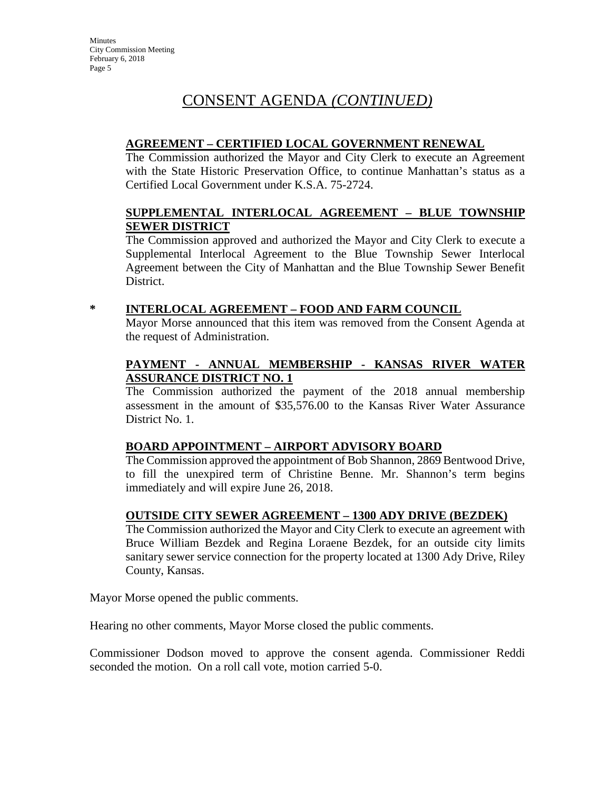# CONSENT AGENDA *(CONTINUED)*

### **AGREEMENT – CERTIFIED LOCAL GOVERNMENT RENEWAL**

The Commission authorized the Mayor and City Clerk to execute an Agreement with the State Historic Preservation Office, to continue Manhattan's status as a Certified Local Government under K.S.A. 75-2724.

#### **SUPPLEMENTAL INTERLOCAL AGREEMENT – BLUE TOWNSHIP SEWER DISTRICT**

The Commission approved and authorized the Mayor and City Clerk to execute a Supplemental Interlocal Agreement to the Blue Township Sewer Interlocal Agreement between the City of Manhattan and the Blue Township Sewer Benefit District.

## **\* INTERLOCAL AGREEMENT – FOOD AND FARM COUNCIL**

Mayor Morse announced that this item was removed from the Consent Agenda at the request of Administration.

### **PAYMENT - ANNUAL MEMBERSHIP - KANSAS RIVER WATER ASSURANCE DISTRICT NO. 1**

The Commission authorized the payment of the 2018 annual membership assessment in the amount of \$35,576.00 to the Kansas River Water Assurance District No. 1.

## **BOARD APPOINTMENT – AIRPORT ADVISORY BOARD**

The Commission approved the appointment of Bob Shannon, 2869 Bentwood Drive, to fill the unexpired term of Christine Benne. Mr. Shannon's term begins immediately and will expire June 26, 2018.

### **OUTSIDE CITY SEWER AGREEMENT – 1300 ADY DRIVE (BEZDEK)**

The Commission authorized the Mayor and City Clerk to execute an agreement with Bruce William Bezdek and Regina Loraene Bezdek, for an outside city limits sanitary sewer service connection for the property located at 1300 Ady Drive, Riley County, Kansas.

Mayor Morse opened the public comments.

Hearing no other comments, Mayor Morse closed the public comments.

Commissioner Dodson moved to approve the consent agenda. Commissioner Reddi seconded the motion. On a roll call vote, motion carried 5-0.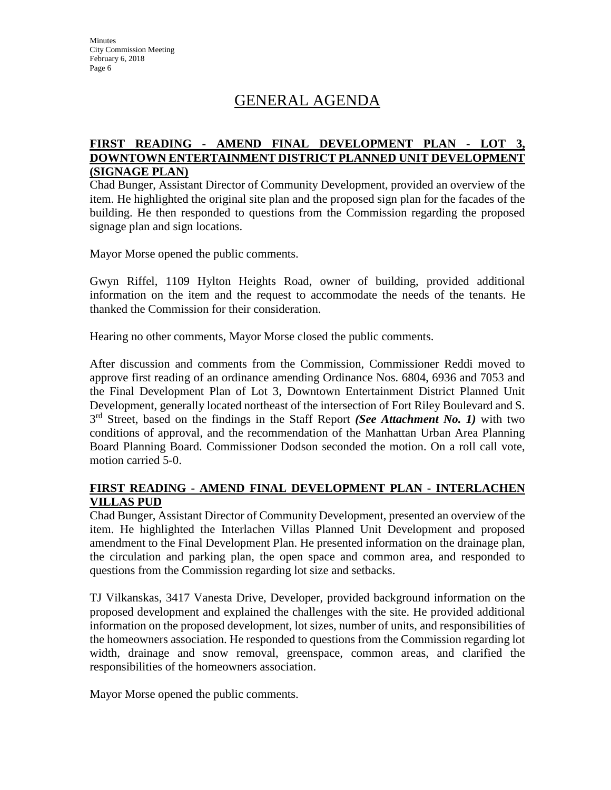# GENERAL AGENDA

### **FIRST READING - AMEND FINAL DEVELOPMENT PLAN - LOT 3, DOWNTOWN ENTERTAINMENT DISTRICT PLANNED UNIT DEVELOPMENT (SIGNAGE PLAN)**

Chad Bunger, Assistant Director of Community Development, provided an overview of the item. He highlighted the original site plan and the proposed sign plan for the facades of the building. He then responded to questions from the Commission regarding the proposed signage plan and sign locations.

Mayor Morse opened the public comments.

Gwyn Riffel, 1109 Hylton Heights Road, owner of building, provided additional information on the item and the request to accommodate the needs of the tenants. He thanked the Commission for their consideration.

Hearing no other comments, Mayor Morse closed the public comments.

After discussion and comments from the Commission, Commissioner Reddi moved to approve first reading of an ordinance amending Ordinance Nos. 6804, 6936 and 7053 and the Final Development Plan of Lot 3, Downtown Entertainment District Planned Unit Development, generally located northeast of the intersection of Fort Riley Boulevard and S. 3rd Street, based on the findings in the Staff Report *(See Attachment No. 1)* with two conditions of approval, and the recommendation of the Manhattan Urban Area Planning Board Planning Board. Commissioner Dodson seconded the motion. On a roll call vote, motion carried 5-0.

### **FIRST READING - AMEND FINAL DEVELOPMENT PLAN - INTERLACHEN VILLAS PUD**

Chad Bunger, Assistant Director of Community Development, presented an overview of the item. He highlighted the Interlachen Villas Planned Unit Development and proposed amendment to the Final Development Plan. He presented information on the drainage plan, the circulation and parking plan, the open space and common area, and responded to questions from the Commission regarding lot size and setbacks.

TJ Vilkanskas, 3417 Vanesta Drive, Developer, provided background information on the proposed development and explained the challenges with the site. He provided additional information on the proposed development, lot sizes, number of units, and responsibilities of the homeowners association. He responded to questions from the Commission regarding lot width, drainage and snow removal, greenspace, common areas, and clarified the responsibilities of the homeowners association.

Mayor Morse opened the public comments.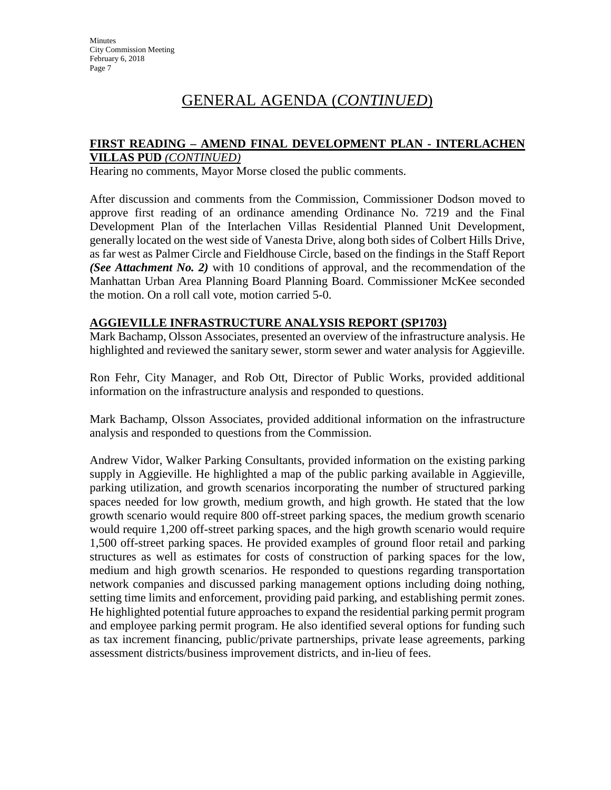#### **FIRST READING – AMEND FINAL DEVELOPMENT PLAN - INTERLACHEN VILLAS PUD** *(CONTINUED)*

Hearing no comments, Mayor Morse closed the public comments.

After discussion and comments from the Commission, Commissioner Dodson moved to approve first reading of an ordinance amending Ordinance No. 7219 and the Final Development Plan of the Interlachen Villas Residential Planned Unit Development, generally located on the west side of Vanesta Drive, along both sides of Colbert Hills Drive, as far west as Palmer Circle and Fieldhouse Circle, based on the findings in the Staff Report *(See Attachment No. 2)* with 10 conditions of approval, and the recommendation of the Manhattan Urban Area Planning Board Planning Board. Commissioner McKee seconded the motion. On a roll call vote, motion carried 5-0.

#### **AGGIEVILLE INFRASTRUCTURE ANALYSIS REPORT (SP1703)**

Mark Bachamp, Olsson Associates, presented an overview of the infrastructure analysis. He highlighted and reviewed the sanitary sewer, storm sewer and water analysis for Aggieville.

Ron Fehr, City Manager, and Rob Ott, Director of Public Works, provided additional information on the infrastructure analysis and responded to questions.

Mark Bachamp, Olsson Associates, provided additional information on the infrastructure analysis and responded to questions from the Commission.

Andrew Vidor, Walker Parking Consultants, provided information on the existing parking supply in Aggieville. He highlighted a map of the public parking available in Aggieville, parking utilization, and growth scenarios incorporating the number of structured parking spaces needed for low growth, medium growth, and high growth. He stated that the low growth scenario would require 800 off-street parking spaces, the medium growth scenario would require 1,200 off-street parking spaces, and the high growth scenario would require 1,500 off-street parking spaces. He provided examples of ground floor retail and parking structures as well as estimates for costs of construction of parking spaces for the low, medium and high growth scenarios. He responded to questions regarding transportation network companies and discussed parking management options including doing nothing, setting time limits and enforcement, providing paid parking, and establishing permit zones. He highlighted potential future approaches to expand the residential parking permit program and employee parking permit program. He also identified several options for funding such as tax increment financing, public/private partnerships, private lease agreements, parking assessment districts/business improvement districts, and in-lieu of fees.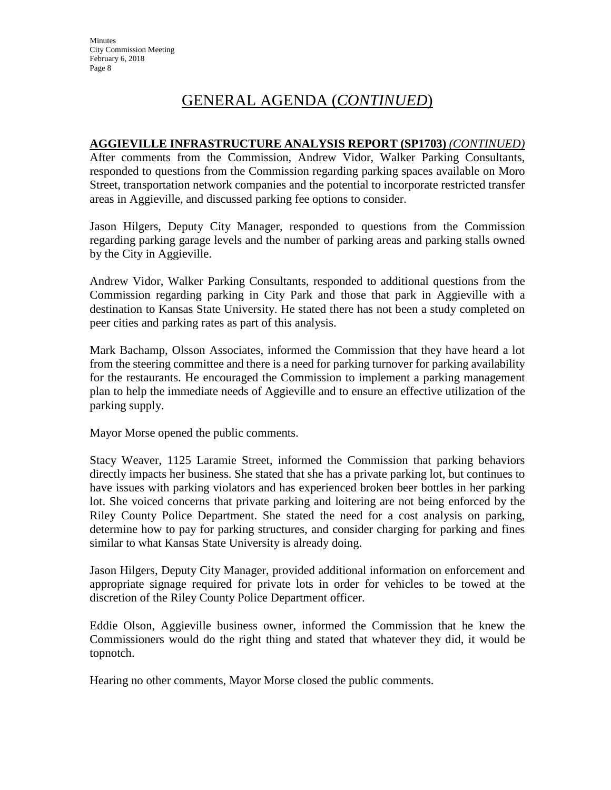### **AGGIEVILLE INFRASTRUCTURE ANALYSIS REPORT (SP1703)** *(CONTINUED)*

After comments from the Commission, Andrew Vidor, Walker Parking Consultants, responded to questions from the Commission regarding parking spaces available on Moro Street, transportation network companies and the potential to incorporate restricted transfer areas in Aggieville, and discussed parking fee options to consider.

Jason Hilgers, Deputy City Manager, responded to questions from the Commission regarding parking garage levels and the number of parking areas and parking stalls owned by the City in Aggieville.

Andrew Vidor, Walker Parking Consultants, responded to additional questions from the Commission regarding parking in City Park and those that park in Aggieville with a destination to Kansas State University. He stated there has not been a study completed on peer cities and parking rates as part of this analysis.

Mark Bachamp, Olsson Associates, informed the Commission that they have heard a lot from the steering committee and there is a need for parking turnover for parking availability for the restaurants. He encouraged the Commission to implement a parking management plan to help the immediate needs of Aggieville and to ensure an effective utilization of the parking supply.

Mayor Morse opened the public comments.

Stacy Weaver, 1125 Laramie Street, informed the Commission that parking behaviors directly impacts her business. She stated that she has a private parking lot, but continues to have issues with parking violators and has experienced broken beer bottles in her parking lot. She voiced concerns that private parking and loitering are not being enforced by the Riley County Police Department. She stated the need for a cost analysis on parking, determine how to pay for parking structures, and consider charging for parking and fines similar to what Kansas State University is already doing.

Jason Hilgers, Deputy City Manager, provided additional information on enforcement and appropriate signage required for private lots in order for vehicles to be towed at the discretion of the Riley County Police Department officer.

Eddie Olson, Aggieville business owner, informed the Commission that he knew the Commissioners would do the right thing and stated that whatever they did, it would be topnotch.

Hearing no other comments, Mayor Morse closed the public comments.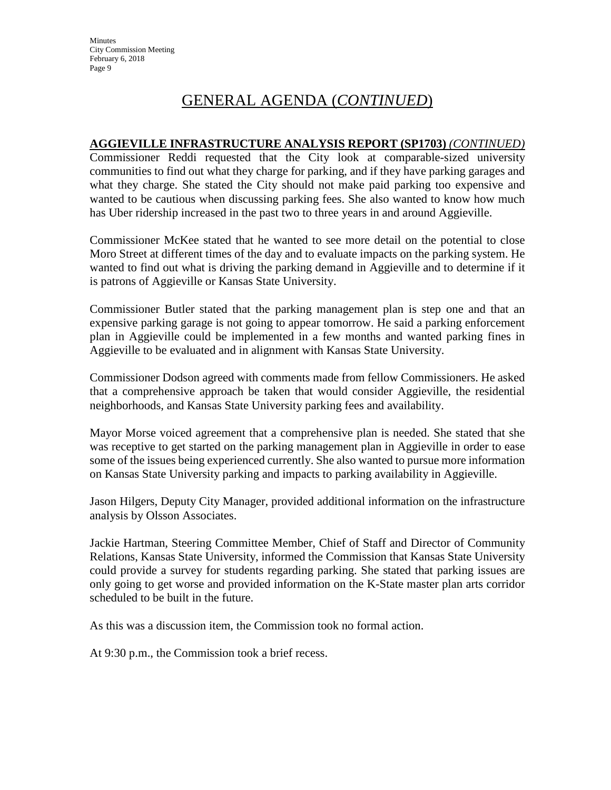### **AGGIEVILLE INFRASTRUCTURE ANALYSIS REPORT (SP1703)** *(CONTINUED)*

Commissioner Reddi requested that the City look at comparable-sized university communities to find out what they charge for parking, and if they have parking garages and what they charge. She stated the City should not make paid parking too expensive and wanted to be cautious when discussing parking fees. She also wanted to know how much has Uber ridership increased in the past two to three years in and around Aggieville.

Commissioner McKee stated that he wanted to see more detail on the potential to close Moro Street at different times of the day and to evaluate impacts on the parking system. He wanted to find out what is driving the parking demand in Aggieville and to determine if it is patrons of Aggieville or Kansas State University.

Commissioner Butler stated that the parking management plan is step one and that an expensive parking garage is not going to appear tomorrow. He said a parking enforcement plan in Aggieville could be implemented in a few months and wanted parking fines in Aggieville to be evaluated and in alignment with Kansas State University.

Commissioner Dodson agreed with comments made from fellow Commissioners. He asked that a comprehensive approach be taken that would consider Aggieville, the residential neighborhoods, and Kansas State University parking fees and availability.

Mayor Morse voiced agreement that a comprehensive plan is needed. She stated that she was receptive to get started on the parking management plan in Aggieville in order to ease some of the issues being experienced currently. She also wanted to pursue more information on Kansas State University parking and impacts to parking availability in Aggieville.

Jason Hilgers, Deputy City Manager, provided additional information on the infrastructure analysis by Olsson Associates.

Jackie Hartman, Steering Committee Member, Chief of Staff and Director of Community Relations, Kansas State University, informed the Commission that Kansas State University could provide a survey for students regarding parking. She stated that parking issues are only going to get worse and provided information on the K-State master plan arts corridor scheduled to be built in the future.

As this was a discussion item, the Commission took no formal action.

At 9:30 p.m., the Commission took a brief recess.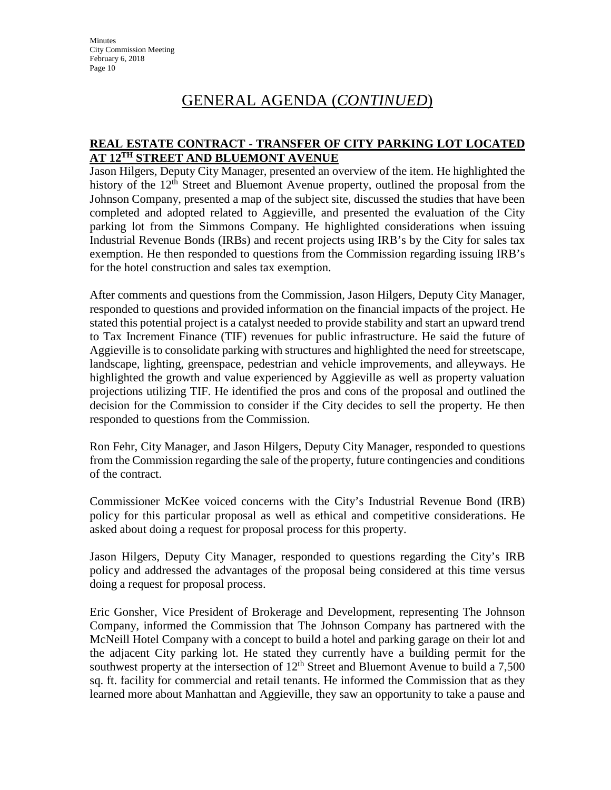## GENERAL AGENDA (*CONTINUED*)

#### **REAL ESTATE CONTRACT - TRANSFER OF CITY PARKING LOT LOCATED AT 12TH STREET AND BLUEMONT AVENUE**

Jason Hilgers, Deputy City Manager, presented an overview of the item. He highlighted the history of the 12<sup>th</sup> Street and Bluemont Avenue property, outlined the proposal from the Johnson Company, presented a map of the subject site, discussed the studies that have been completed and adopted related to Aggieville, and presented the evaluation of the City parking lot from the Simmons Company. He highlighted considerations when issuing Industrial Revenue Bonds (IRBs) and recent projects using IRB's by the City for sales tax exemption. He then responded to questions from the Commission regarding issuing IRB's for the hotel construction and sales tax exemption.

After comments and questions from the Commission, Jason Hilgers, Deputy City Manager, responded to questions and provided information on the financial impacts of the project. He stated this potential project is a catalyst needed to provide stability and start an upward trend to Tax Increment Finance (TIF) revenues for public infrastructure. He said the future of Aggieville is to consolidate parking with structures and highlighted the need for streetscape, landscape, lighting, greenspace, pedestrian and vehicle improvements, and alleyways. He highlighted the growth and value experienced by Aggieville as well as property valuation projections utilizing TIF. He identified the pros and cons of the proposal and outlined the decision for the Commission to consider if the City decides to sell the property. He then responded to questions from the Commission.

Ron Fehr, City Manager, and Jason Hilgers, Deputy City Manager, responded to questions from the Commission regarding the sale of the property, future contingencies and conditions of the contract.

Commissioner McKee voiced concerns with the City's Industrial Revenue Bond (IRB) policy for this particular proposal as well as ethical and competitive considerations. He asked about doing a request for proposal process for this property.

Jason Hilgers, Deputy City Manager, responded to questions regarding the City's IRB policy and addressed the advantages of the proposal being considered at this time versus doing a request for proposal process.

Eric Gonsher, Vice President of Brokerage and Development, representing The Johnson Company, informed the Commission that The Johnson Company has partnered with the McNeill Hotel Company with a concept to build a hotel and parking garage on their lot and the adjacent City parking lot. He stated they currently have a building permit for the southwest property at the intersection of  $12<sup>th</sup>$  Street and Bluemont Avenue to build a 7,500 sq. ft. facility for commercial and retail tenants. He informed the Commission that as they learned more about Manhattan and Aggieville, they saw an opportunity to take a pause and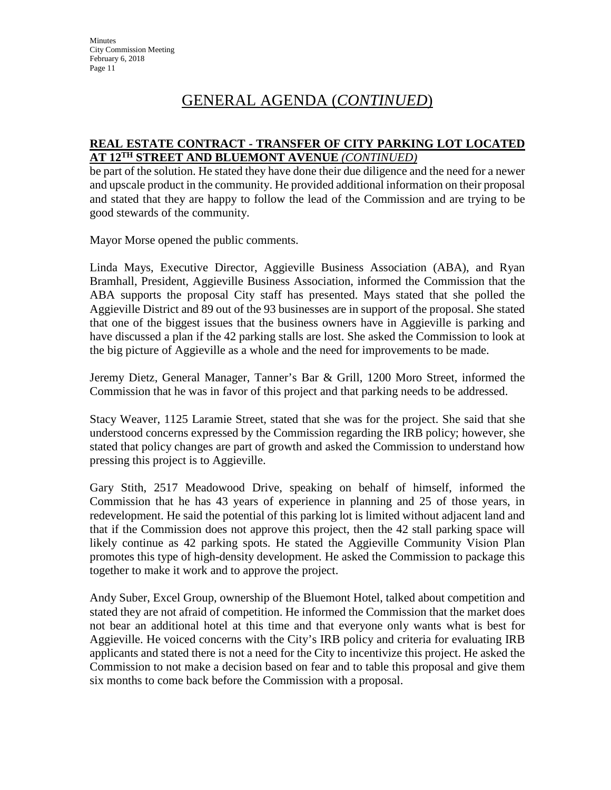#### **REAL ESTATE CONTRACT - TRANSFER OF CITY PARKING LOT LOCATED AT 12TH STREET AND BLUEMONT AVENUE** *(CONTINUED)*

be part of the solution. He stated they have done their due diligence and the need for a newer and upscale product in the community. He provided additional information on their proposal and stated that they are happy to follow the lead of the Commission and are trying to be good stewards of the community.

Mayor Morse opened the public comments.

Linda Mays, Executive Director, Aggieville Business Association (ABA), and Ryan Bramhall, President, Aggieville Business Association, informed the Commission that the ABA supports the proposal City staff has presented. Mays stated that she polled the Aggieville District and 89 out of the 93 businesses are in support of the proposal. She stated that one of the biggest issues that the business owners have in Aggieville is parking and have discussed a plan if the 42 parking stalls are lost. She asked the Commission to look at the big picture of Aggieville as a whole and the need for improvements to be made.

Jeremy Dietz, General Manager, Tanner's Bar & Grill, 1200 Moro Street, informed the Commission that he was in favor of this project and that parking needs to be addressed.

Stacy Weaver, 1125 Laramie Street, stated that she was for the project. She said that she understood concerns expressed by the Commission regarding the IRB policy; however, she stated that policy changes are part of growth and asked the Commission to understand how pressing this project is to Aggieville.

Gary Stith, 2517 Meadowood Drive, speaking on behalf of himself, informed the Commission that he has 43 years of experience in planning and 25 of those years, in redevelopment. He said the potential of this parking lot is limited without adjacent land and that if the Commission does not approve this project, then the 42 stall parking space will likely continue as 42 parking spots. He stated the Aggieville Community Vision Plan promotes this type of high-density development. He asked the Commission to package this together to make it work and to approve the project.

Andy Suber, Excel Group, ownership of the Bluemont Hotel, talked about competition and stated they are not afraid of competition. He informed the Commission that the market does not bear an additional hotel at this time and that everyone only wants what is best for Aggieville. He voiced concerns with the City's IRB policy and criteria for evaluating IRB applicants and stated there is not a need for the City to incentivize this project. He asked the Commission to not make a decision based on fear and to table this proposal and give them six months to come back before the Commission with a proposal.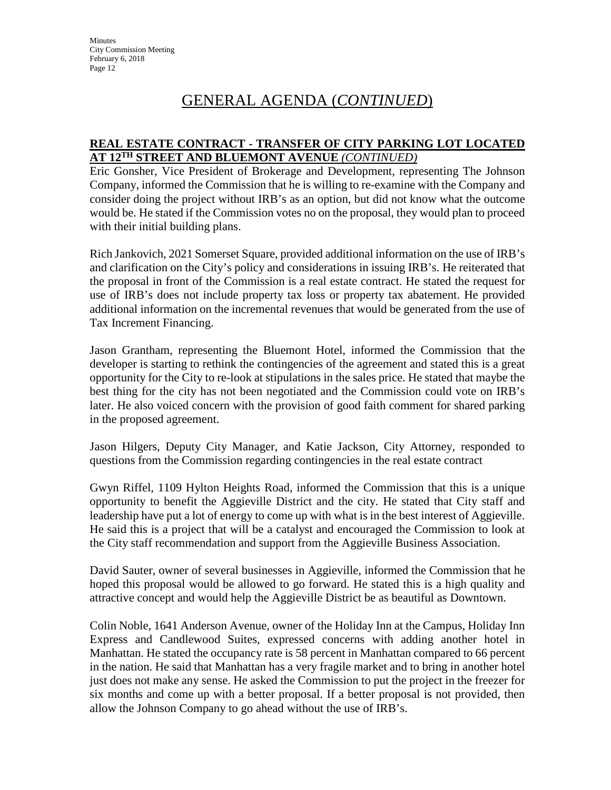#### **REAL ESTATE CONTRACT - TRANSFER OF CITY PARKING LOT LOCATED AT 12TH STREET AND BLUEMONT AVENUE** *(CONTINUED)*

Eric Gonsher, Vice President of Brokerage and Development, representing The Johnson Company, informed the Commission that he is willing to re-examine with the Company and consider doing the project without IRB's as an option, but did not know what the outcome would be. He stated if the Commission votes no on the proposal, they would plan to proceed with their initial building plans.

Rich Jankovich, 2021 Somerset Square, provided additional information on the use of IRB's and clarification on the City's policy and considerations in issuing IRB's. He reiterated that the proposal in front of the Commission is a real estate contract. He stated the request for use of IRB's does not include property tax loss or property tax abatement. He provided additional information on the incremental revenues that would be generated from the use of Tax Increment Financing.

Jason Grantham, representing the Bluemont Hotel, informed the Commission that the developer is starting to rethink the contingencies of the agreement and stated this is a great opportunity for the City to re-look at stipulations in the sales price. He stated that maybe the best thing for the city has not been negotiated and the Commission could vote on IRB's later. He also voiced concern with the provision of good faith comment for shared parking in the proposed agreement.

Jason Hilgers, Deputy City Manager, and Katie Jackson, City Attorney, responded to questions from the Commission regarding contingencies in the real estate contract

Gwyn Riffel, 1109 Hylton Heights Road, informed the Commission that this is a unique opportunity to benefit the Aggieville District and the city. He stated that City staff and leadership have put a lot of energy to come up with what is in the best interest of Aggieville. He said this is a project that will be a catalyst and encouraged the Commission to look at the City staff recommendation and support from the Aggieville Business Association.

David Sauter, owner of several businesses in Aggieville, informed the Commission that he hoped this proposal would be allowed to go forward. He stated this is a high quality and attractive concept and would help the Aggieville District be as beautiful as Downtown.

Colin Noble, 1641 Anderson Avenue, owner of the Holiday Inn at the Campus, Holiday Inn Express and Candlewood Suites, expressed concerns with adding another hotel in Manhattan. He stated the occupancy rate is 58 percent in Manhattan compared to 66 percent in the nation. He said that Manhattan has a very fragile market and to bring in another hotel just does not make any sense. He asked the Commission to put the project in the freezer for six months and come up with a better proposal. If a better proposal is not provided, then allow the Johnson Company to go ahead without the use of IRB's.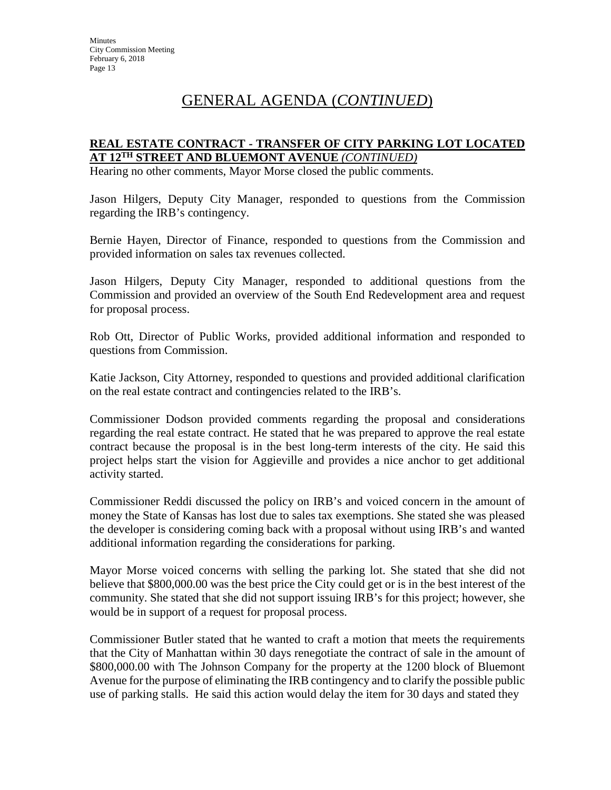#### **REAL ESTATE CONTRACT - TRANSFER OF CITY PARKING LOT LOCATED AT 12TH STREET AND BLUEMONT AVENUE** *(CONTINUED)*

Hearing no other comments, Mayor Morse closed the public comments.

Jason Hilgers, Deputy City Manager, responded to questions from the Commission regarding the IRB's contingency.

Bernie Hayen, Director of Finance, responded to questions from the Commission and provided information on sales tax revenues collected.

Jason Hilgers, Deputy City Manager, responded to additional questions from the Commission and provided an overview of the South End Redevelopment area and request for proposal process.

Rob Ott, Director of Public Works, provided additional information and responded to questions from Commission.

Katie Jackson, City Attorney, responded to questions and provided additional clarification on the real estate contract and contingencies related to the IRB's.

Commissioner Dodson provided comments regarding the proposal and considerations regarding the real estate contract. He stated that he was prepared to approve the real estate contract because the proposal is in the best long-term interests of the city. He said this project helps start the vision for Aggieville and provides a nice anchor to get additional activity started.

Commissioner Reddi discussed the policy on IRB's and voiced concern in the amount of money the State of Kansas has lost due to sales tax exemptions. She stated she was pleased the developer is considering coming back with a proposal without using IRB's and wanted additional information regarding the considerations for parking.

Mayor Morse voiced concerns with selling the parking lot. She stated that she did not believe that \$800,000.00 was the best price the City could get or is in the best interest of the community. She stated that she did not support issuing IRB's for this project; however, she would be in support of a request for proposal process.

Commissioner Butler stated that he wanted to craft a motion that meets the requirements that the City of Manhattan within 30 days renegotiate the contract of sale in the amount of \$800,000.00 with The Johnson Company for the property at the 1200 block of Bluemont Avenue for the purpose of eliminating the IRB contingency and to clarify the possible public use of parking stalls. He said this action would delay the item for 30 days and stated they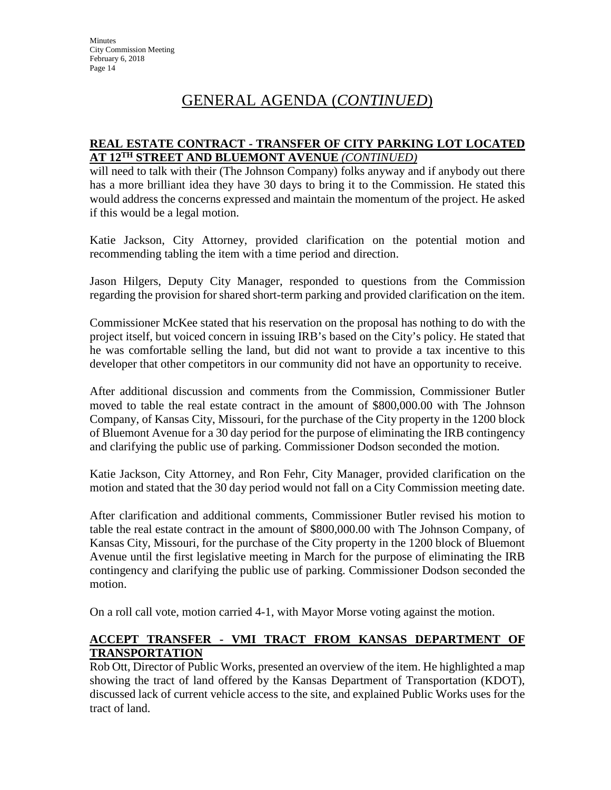#### **REAL ESTATE CONTRACT - TRANSFER OF CITY PARKING LOT LOCATED AT 12TH STREET AND BLUEMONT AVENUE** *(CONTINUED)*

will need to talk with their (The Johnson Company) folks anyway and if anybody out there has a more brilliant idea they have 30 days to bring it to the Commission. He stated this would address the concerns expressed and maintain the momentum of the project. He asked if this would be a legal motion.

Katie Jackson, City Attorney, provided clarification on the potential motion and recommending tabling the item with a time period and direction.

Jason Hilgers, Deputy City Manager, responded to questions from the Commission regarding the provision for shared short-term parking and provided clarification on the item.

Commissioner McKee stated that his reservation on the proposal has nothing to do with the project itself, but voiced concern in issuing IRB's based on the City's policy. He stated that he was comfortable selling the land, but did not want to provide a tax incentive to this developer that other competitors in our community did not have an opportunity to receive.

After additional discussion and comments from the Commission, Commissioner Butler moved to table the real estate contract in the amount of \$800,000.00 with The Johnson Company, of Kansas City, Missouri, for the purchase of the City property in the 1200 block of Bluemont Avenue for a 30 day period for the purpose of eliminating the IRB contingency and clarifying the public use of parking. Commissioner Dodson seconded the motion.

Katie Jackson, City Attorney, and Ron Fehr, City Manager, provided clarification on the motion and stated that the 30 day period would not fall on a City Commission meeting date.

After clarification and additional comments, Commissioner Butler revised his motion to table the real estate contract in the amount of \$800,000.00 with The Johnson Company, of Kansas City, Missouri, for the purchase of the City property in the 1200 block of Bluemont Avenue until the first legislative meeting in March for the purpose of eliminating the IRB contingency and clarifying the public use of parking. Commissioner Dodson seconded the motion.

On a roll call vote, motion carried 4-1, with Mayor Morse voting against the motion.

### **ACCEPT TRANSFER - VMI TRACT FROM KANSAS DEPARTMENT OF TRANSPORTATION**

Rob Ott, Director of Public Works, presented an overview of the item. He highlighted a map showing the tract of land offered by the Kansas Department of Transportation (KDOT), discussed lack of current vehicle access to the site, and explained Public Works uses for the tract of land.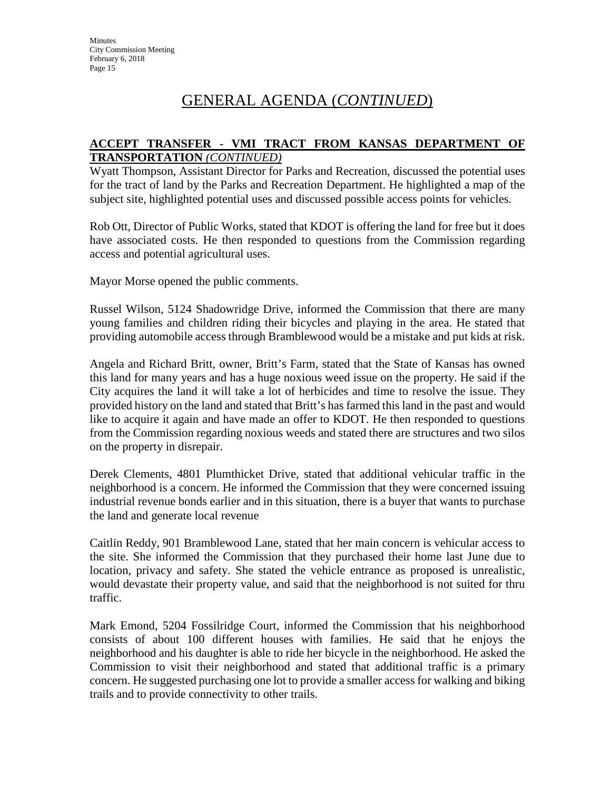#### **ACCEPT TRANSFER - VMI TRACT FROM KANSAS DEPARTMENT OF TRANSPORTATION** *(CONTINUED)*

Wyatt Thompson, Assistant Director for Parks and Recreation, discussed the potential uses for the tract of land by the Parks and Recreation Department. He highlighted a map of the subject site, highlighted potential uses and discussed possible access points for vehicles.

Rob Ott, Director of Public Works, stated that KDOT is offering the land for free but it does have associated costs. He then responded to questions from the Commission regarding access and potential agricultural uses.

Mayor Morse opened the public comments.

Russel Wilson, 5124 Shadowridge Drive, informed the Commission that there are many young families and children riding their bicycles and playing in the area. He stated that providing automobile access through Bramblewood would be a mistake and put kids at risk.

Angela and Richard Britt, owner, Britt's Farm, stated that the State of Kansas has owned this land for many years and has a huge noxious weed issue on the property. He said if the City acquires the land it will take a lot of herbicides and time to resolve the issue. They provided history on the land and stated that Britt's has farmed this land in the past and would like to acquire it again and have made an offer to KDOT. He then responded to questions from the Commission regarding noxious weeds and stated there are structures and two silos on the property in disrepair.

Derek Clements, 4801 Plumthicket Drive, stated that additional vehicular traffic in the neighborhood is a concern. He informed the Commission that they were concerned issuing industrial revenue bonds earlier and in this situation, there is a buyer that wants to purchase the land and generate local revenue

Caitlin Reddy, 901 Bramblewood Lane, stated that her main concern is vehicular access to the site. She informed the Commission that they purchased their home last June due to location, privacy and safety. She stated the vehicle entrance as proposed is unrealistic, would devastate their property value, and said that the neighborhood is not suited for thru traffic.

Mark Emond, 5204 Fossilridge Court, informed the Commission that his neighborhood consists of about 100 different houses with families. He said that he enjoys the neighborhood and his daughter is able to ride her bicycle in the neighborhood. He asked the Commission to visit their neighborhood and stated that additional traffic is a primary concern. He suggested purchasing one lot to provide a smaller access for walking and biking trails and to provide connectivity to other trails.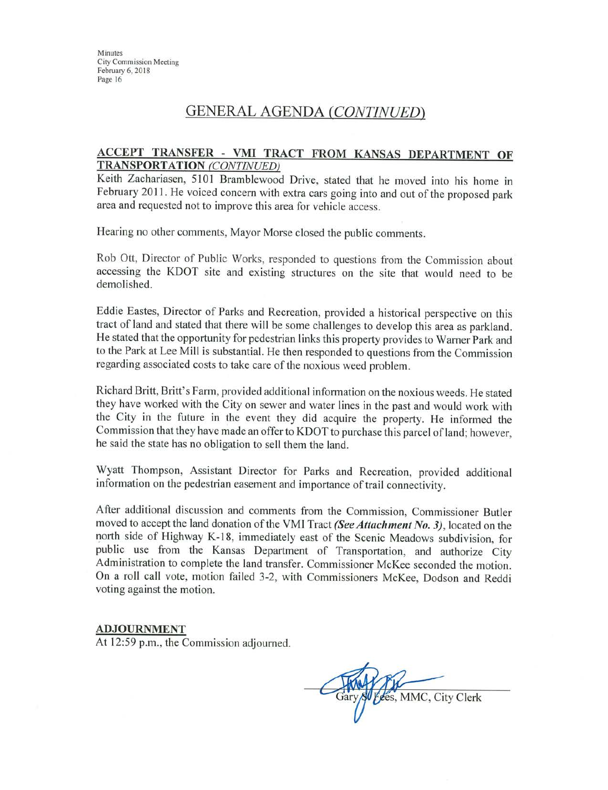## **GENERAL AGENDA (CONTINUED)**

#### ACCEPT TRANSFER - VMI TRACT FROM KANSAS DEPARTMENT OF **TRANSPORTATION (CONTINUED)**

Keith Zachariasen, 5101 Bramblewood Drive, stated that he moved into his home in February 2011. He voiced concern with extra cars going into and out of the proposed park area and requested not to improve this area for vehicle access.

Hearing no other comments, Mayor Morse closed the public comments.

Rob Ott, Director of Public Works, responded to questions from the Commission about accessing the KDOT site and existing structures on the site that would need to be demolished.

Eddie Eastes, Director of Parks and Recreation, provided a historical perspective on this tract of land and stated that there will be some challenges to develop this area as parkland. He stated that the opportunity for pedestrian links this property provides to Warner Park and to the Park at Lee Mill is substantial. He then responded to questions from the Commission regarding associated costs to take care of the noxious weed problem.

Richard Britt, Britt's Farm, provided additional information on the noxious weeds. He stated they have worked with the City on sewer and water lines in the past and would work with the City in the future in the event they did acquire the property. He informed the Commission that they have made an offer to KDOT to purchase this parcel of land; however, he said the state has no obligation to sell them the land.

Wyatt Thompson, Assistant Director for Parks and Recreation, provided additional information on the pedestrian easement and importance of trail connectivity.

After additional discussion and comments from the Commission, Commissioner Butler moved to accept the land donation of the VMI Tract (See Attachment No. 3), located on the north side of Highway K-18, immediately east of the Scenic Meadows subdivision, for public use from the Kansas Department of Transportation, and authorize City Administration to complete the land transfer. Commissioner McKee seconded the motion. On a roll call vote, motion failed 3-2, with Commissioners McKee, Dodson and Reddi voting against the motion.

#### **ADJOURNMENT**

At 12:59 p.m., the Commission adjourned.

Gary SV Fees, MMC, City Clerk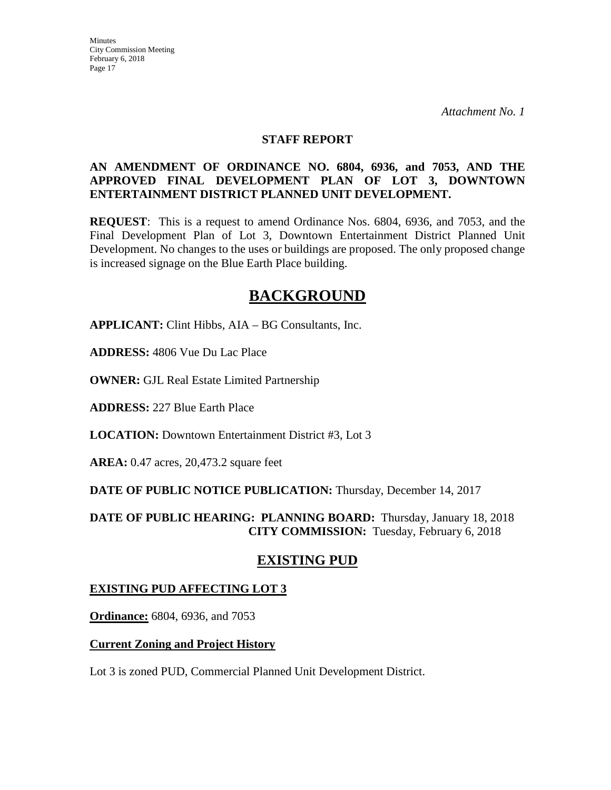#### **STAFF REPORT**

#### **AN AMENDMENT OF ORDINANCE NO. 6804, 6936, and 7053, AND THE APPROVED FINAL DEVELOPMENT PLAN OF LOT 3, DOWNTOWN ENTERTAINMENT DISTRICT PLANNED UNIT DEVELOPMENT.**

**REQUEST**: This is a request to amend Ordinance Nos. 6804, 6936, and 7053, and the Final Development Plan of Lot 3, Downtown Entertainment District Planned Unit Development. No changes to the uses or buildings are proposed. The only proposed change is increased signage on the Blue Earth Place building.

# **BACKGROUND**

**APPLICANT:** Clint Hibbs, AIA – BG Consultants, Inc.

**ADDRESS:** 4806 Vue Du Lac Place

**OWNER:** GJL Real Estate Limited Partnership

**ADDRESS:** 227 Blue Earth Place

**LOCATION:** Downtown Entertainment District #3, Lot 3

**AREA:** 0.47 acres, 20,473.2 square feet

**DATE OF PUBLIC NOTICE PUBLICATION:** Thursday, December 14, 2017

**DATE OF PUBLIC HEARING: PLANNING BOARD:** Thursday, January 18, 2018 **CITY COMMISSION:** Tuesday, February 6, 2018

## **EXISTING PUD**

### **EXISTING PUD AFFECTING LOT 3**

**Ordinance:** 6804, 6936, and 7053

### **Current Zoning and Project History**

Lot 3 is zoned PUD, Commercial Planned Unit Development District.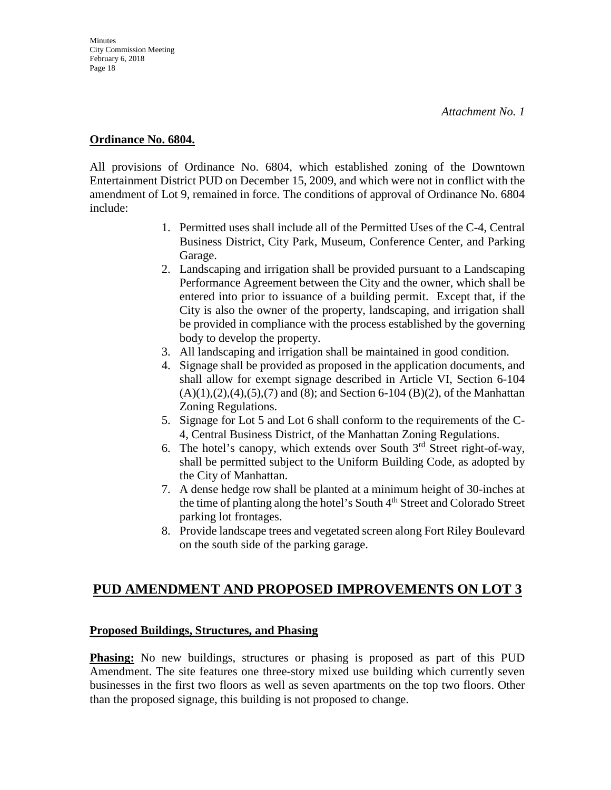#### **Ordinance No. 6804.**

All provisions of Ordinance No. 6804, which established zoning of the Downtown Entertainment District PUD on December 15, 2009, and which were not in conflict with the amendment of Lot 9, remained in force. The conditions of approval of Ordinance No. 6804 include:

- 1. Permitted uses shall include all of the Permitted Uses of the C-4, Central Business District, City Park, Museum, Conference Center, and Parking Garage.
- 2. Landscaping and irrigation shall be provided pursuant to a Landscaping Performance Agreement between the City and the owner, which shall be entered into prior to issuance of a building permit. Except that, if the City is also the owner of the property, landscaping, and irrigation shall be provided in compliance with the process established by the governing body to develop the property.
- 3. All landscaping and irrigation shall be maintained in good condition.
- 4. Signage shall be provided as proposed in the application documents, and shall allow for exempt signage described in Article VI, Section 6-104  $(A)(1),(2),(4),(5),(7)$  and  $(8)$ ; and Section 6-104  $(B)(2)$ , of the Manhattan Zoning Regulations.
- 5. Signage for Lot 5 and Lot 6 shall conform to the requirements of the C-4, Central Business District, of the Manhattan Zoning Regulations.
- 6. The hotel's canopy, which extends over South  $3<sup>rd</sup>$  Street right-of-way, shall be permitted subject to the Uniform Building Code, as adopted by the City of Manhattan.
- 7. A dense hedge row shall be planted at a minimum height of 30-inches at the time of planting along the hotel's South  $4<sup>th</sup>$  Street and Colorado Street parking lot frontages.
- 8. Provide landscape trees and vegetated screen along Fort Riley Boulevard on the south side of the parking garage.

## **PUD AMENDMENT AND PROPOSED IMPROVEMENTS ON LOT 3**

#### **Proposed Buildings, Structures, and Phasing**

**Phasing:** No new buildings, structures or phasing is proposed as part of this PUD Amendment. The site features one three-story mixed use building which currently seven businesses in the first two floors as well as seven apartments on the top two floors. Other than the proposed signage, this building is not proposed to change.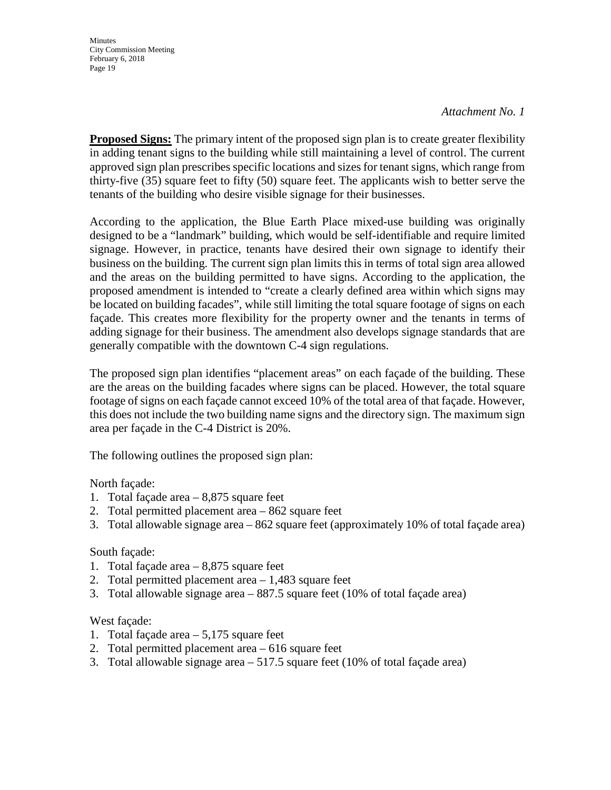#### *Attachment No. 1*

**Proposed Signs:** The primary intent of the proposed sign plan is to create greater flexibility in adding tenant signs to the building while still maintaining a level of control. The current approved sign plan prescribes specific locations and sizes for tenant signs, which range from thirty-five (35) square feet to fifty (50) square feet. The applicants wish to better serve the tenants of the building who desire visible signage for their businesses.

According to the application, the Blue Earth Place mixed-use building was originally designed to be a "landmark" building, which would be self-identifiable and require limited signage. However, in practice, tenants have desired their own signage to identify their business on the building. The current sign plan limits this in terms of total sign area allowed and the areas on the building permitted to have signs. According to the application, the proposed amendment is intended to "create a clearly defined area within which signs may be located on building facades", while still limiting the total square footage of signs on each façade. This creates more flexibility for the property owner and the tenants in terms of adding signage for their business. The amendment also develops signage standards that are generally compatible with the downtown C-4 sign regulations.

The proposed sign plan identifies "placement areas" on each façade of the building. These are the areas on the building facades where signs can be placed. However, the total square footage of signs on each façade cannot exceed 10% of the total area of that façade. However, this does not include the two building name signs and the directory sign. The maximum sign area per façade in the C-4 District is 20%.

The following outlines the proposed sign plan:

North façade:

- 1. Total façade area 8,875 square feet
- 2. Total permitted placement area 862 square feet
- 3. Total allowable signage area 862 square feet (approximately 10% of total façade area)

#### South façade:

- 1. Total façade area 8,875 square feet
- 2. Total permitted placement area 1,483 square feet
- 3. Total allowable signage area 887.5 square feet (10% of total façade area)

#### West façade:

- 1. Total façade area 5,175 square feet
- 2. Total permitted placement area 616 square feet
- 3. Total allowable signage area 517.5 square feet (10% of total façade area)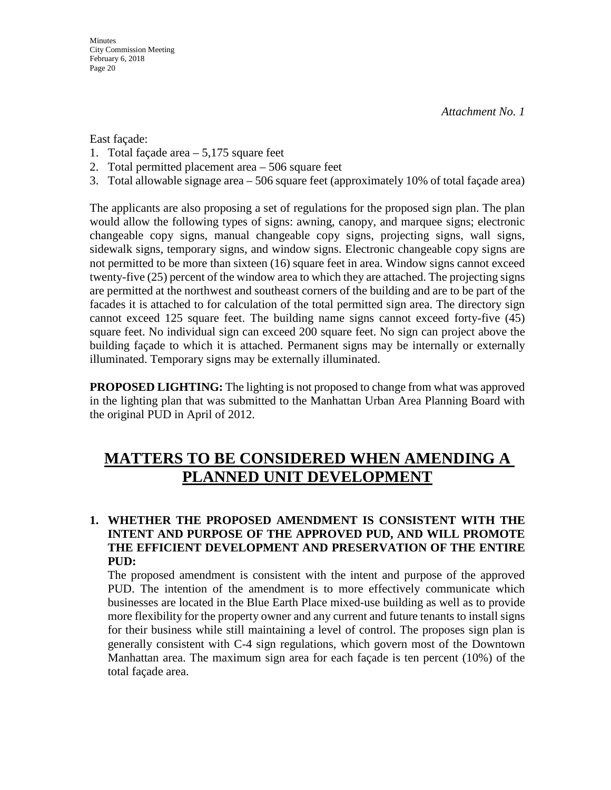East façade:

- 1. Total façade area 5,175 square feet
- 2. Total permitted placement area 506 square feet
- 3. Total allowable signage area 506 square feet (approximately 10% of total façade area)

The applicants are also proposing a set of regulations for the proposed sign plan. The plan would allow the following types of signs: awning, canopy, and marquee signs; electronic changeable copy signs, manual changeable copy signs, projecting signs, wall signs, sidewalk signs, temporary signs, and window signs. Electronic changeable copy signs are not permitted to be more than sixteen (16) square feet in area. Window signs cannot exceed twenty-five (25) percent of the window area to which they are attached. The projecting signs are permitted at the northwest and southeast corners of the building and are to be part of the facades it is attached to for calculation of the total permitted sign area. The directory sign cannot exceed 125 square feet. The building name signs cannot exceed forty-five (45) square feet. No individual sign can exceed 200 square feet. No sign can project above the building façade to which it is attached. Permanent signs may be internally or externally illuminated. Temporary signs may be externally illuminated.

**PROPOSED LIGHTING:** The lighting is not proposed to change from what was approved in the lighting plan that was submitted to the Manhattan Urban Area Planning Board with the original PUD in April of 2012.

# **MATTERS TO BE CONSIDERED WHEN AMENDING A PLANNED UNIT DEVELOPMENT**

### **1. WHETHER THE PROPOSED AMENDMENT IS CONSISTENT WITH THE INTENT AND PURPOSE OF THE APPROVED PUD, AND WILL PROMOTE THE EFFICIENT DEVELOPMENT AND PRESERVATION OF THE ENTIRE PUD:**

The proposed amendment is consistent with the intent and purpose of the approved PUD. The intention of the amendment is to more effectively communicate which businesses are located in the Blue Earth Place mixed-use building as well as to provide more flexibility for the property owner and any current and future tenants to install signs for their business while still maintaining a level of control. The proposes sign plan is generally consistent with C-4 sign regulations, which govern most of the Downtown Manhattan area. The maximum sign area for each façade is ten percent (10%) of the total façade area.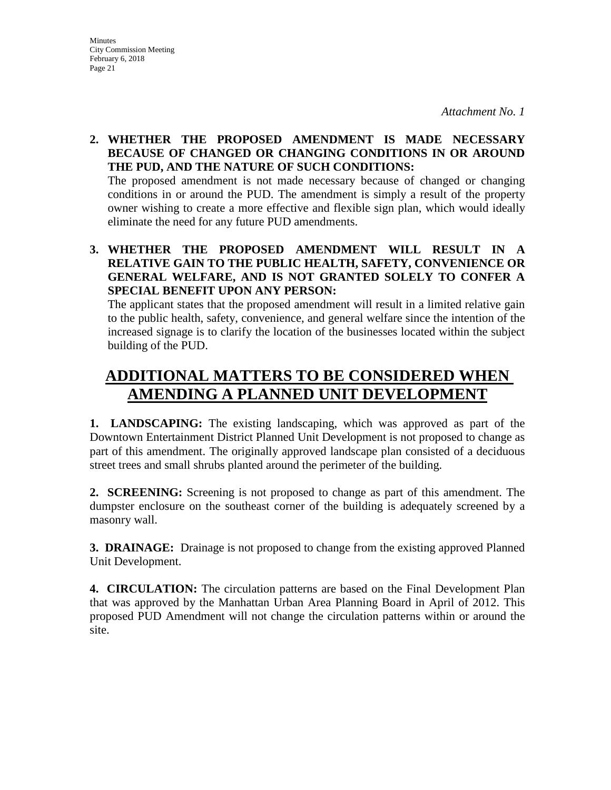### **2. WHETHER THE PROPOSED AMENDMENT IS MADE NECESSARY BECAUSE OF CHANGED OR CHANGING CONDITIONS IN OR AROUND THE PUD, AND THE NATURE OF SUCH CONDITIONS:**

The proposed amendment is not made necessary because of changed or changing conditions in or around the PUD. The amendment is simply a result of the property owner wishing to create a more effective and flexible sign plan, which would ideally eliminate the need for any future PUD amendments.

## **3. WHETHER THE PROPOSED AMENDMENT WILL RESULT IN A RELATIVE GAIN TO THE PUBLIC HEALTH, SAFETY, CONVENIENCE OR GENERAL WELFARE, AND IS NOT GRANTED SOLELY TO CONFER A SPECIAL BENEFIT UPON ANY PERSON:**

The applicant states that the proposed amendment will result in a limited relative gain to the public health, safety, convenience, and general welfare since the intention of the increased signage is to clarify the location of the businesses located within the subject building of the PUD.

# **ADDITIONAL MATTERS TO BE CONSIDERED WHEN AMENDING A PLANNED UNIT DEVELOPMENT**

**1. LANDSCAPING:** The existing landscaping, which was approved as part of the Downtown Entertainment District Planned Unit Development is not proposed to change as part of this amendment. The originally approved landscape plan consisted of a deciduous street trees and small shrubs planted around the perimeter of the building.

**2. SCREENING:** Screening is not proposed to change as part of this amendment. The dumpster enclosure on the southeast corner of the building is adequately screened by a masonry wall.

**3. DRAINAGE:** Drainage is not proposed to change from the existing approved Planned Unit Development.

**4. CIRCULATION:** The circulation patterns are based on the Final Development Plan that was approved by the Manhattan Urban Area Planning Board in April of 2012. This proposed PUD Amendment will not change the circulation patterns within or around the site.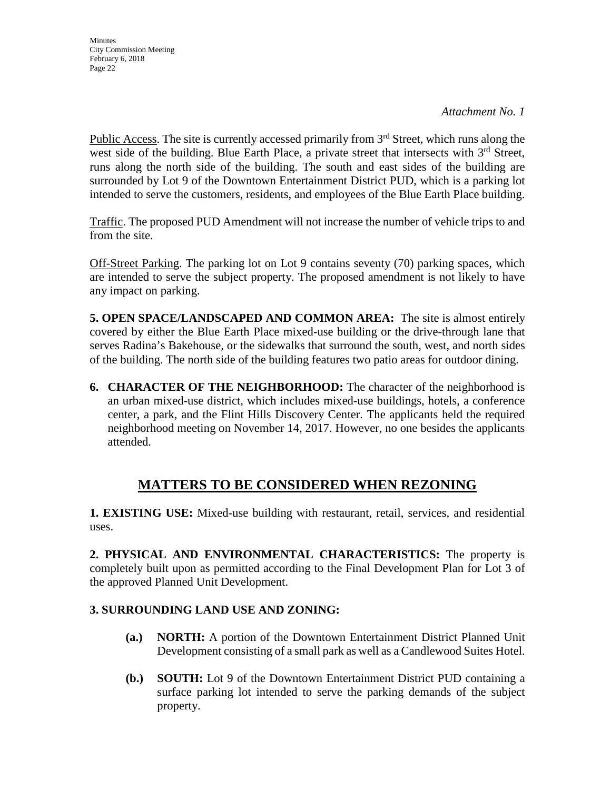Public Access. The site is currently accessed primarily from  $3<sup>rd</sup>$  Street, which runs along the west side of the building. Blue Earth Place, a private street that intersects with  $3<sup>rd</sup>$  Street, runs along the north side of the building. The south and east sides of the building are surrounded by Lot 9 of the Downtown Entertainment District PUD, which is a parking lot intended to serve the customers, residents, and employees of the Blue Earth Place building.

Traffic. The proposed PUD Amendment will not increase the number of vehicle trips to and from the site.

Off-Street Parking. The parking lot on Lot 9 contains seventy (70) parking spaces, which are intended to serve the subject property. The proposed amendment is not likely to have any impact on parking.

**5. OPEN SPACE/LANDSCAPED AND COMMON AREA:** The site is almost entirely covered by either the Blue Earth Place mixed-use building or the drive-through lane that serves Radina's Bakehouse, or the sidewalks that surround the south, west, and north sides of the building. The north side of the building features two patio areas for outdoor dining.

**6. CHARACTER OF THE NEIGHBORHOOD:** The character of the neighborhood is an urban mixed-use district, which includes mixed-use buildings, hotels, a conference center, a park, and the Flint Hills Discovery Center. The applicants held the required neighborhood meeting on November 14, 2017. However, no one besides the applicants attended.

## **MATTERS TO BE CONSIDERED WHEN REZONING**

**1. EXISTING USE:** Mixed-use building with restaurant, retail, services, and residential uses.

**2. PHYSICAL AND ENVIRONMENTAL CHARACTERISTICS:** The property is completely built upon as permitted according to the Final Development Plan for Lot 3 of the approved Planned Unit Development.

## **3. SURROUNDING LAND USE AND ZONING:**

- **(a.) NORTH:** A portion of the Downtown Entertainment District Planned Unit Development consisting of a small park as well as a Candlewood Suites Hotel.
- **(b.) SOUTH:** Lot 9 of the Downtown Entertainment District PUD containing a surface parking lot intended to serve the parking demands of the subject property.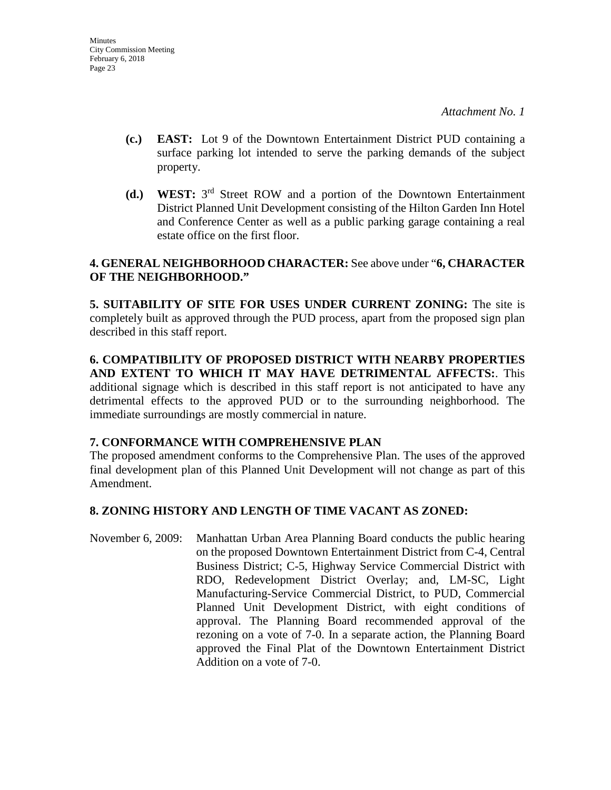- **(c.) EAST:** Lot 9 of the Downtown Entertainment District PUD containing a surface parking lot intended to serve the parking demands of the subject property.
- **(d.) WEST:** 3rd Street ROW and a portion of the Downtown Entertainment District Planned Unit Development consisting of the Hilton Garden Inn Hotel and Conference Center as well as a public parking garage containing a real estate office on the first floor.

## **4. GENERAL NEIGHBORHOOD CHARACTER:** See above under "**6, CHARACTER OF THE NEIGHBORHOOD."**

**5. SUITABILITY OF SITE FOR USES UNDER CURRENT ZONING:** The site is completely built as approved through the PUD process, apart from the proposed sign plan described in this staff report.

**6. COMPATIBILITY OF PROPOSED DISTRICT WITH NEARBY PROPERTIES AND EXTENT TO WHICH IT MAY HAVE DETRIMENTAL AFFECTS:**. This additional signage which is described in this staff report is not anticipated to have any detrimental effects to the approved PUD or to the surrounding neighborhood. The immediate surroundings are mostly commercial in nature.

### **7. CONFORMANCE WITH COMPREHENSIVE PLAN**

The proposed amendment conforms to the Comprehensive Plan. The uses of the approved final development plan of this Planned Unit Development will not change as part of this Amendment.

## **8. ZONING HISTORY AND LENGTH OF TIME VACANT AS ZONED:**

November 6, 2009: Manhattan Urban Area Planning Board conducts the public hearing on the proposed Downtown Entertainment District from C-4, Central Business District; C-5, Highway Service Commercial District with RDO, Redevelopment District Overlay; and, LM-SC, Light Manufacturing-Service Commercial District, to PUD, Commercial Planned Unit Development District, with eight conditions of approval. The Planning Board recommended approval of the rezoning on a vote of 7-0. In a separate action, the Planning Board approved the Final Plat of the Downtown Entertainment District Addition on a vote of 7-0.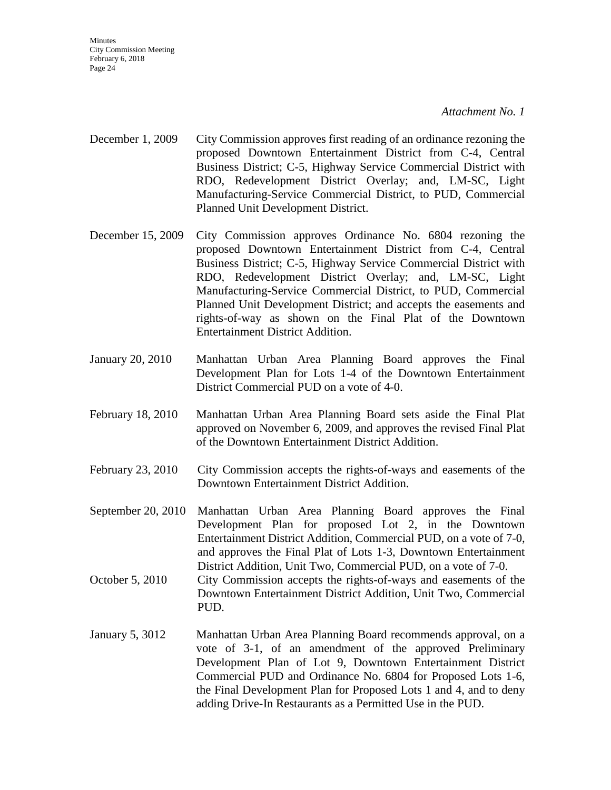- December 1, 2009 City Commission approves first reading of an ordinance rezoning the proposed Downtown Entertainment District from C-4, Central Business District; C-5, Highway Service Commercial District with RDO, Redevelopment District Overlay; and, LM-SC, Light Manufacturing-Service Commercial District, to PUD, Commercial Planned Unit Development District.
- December 15, 2009 City Commission approves Ordinance No. 6804 rezoning the proposed Downtown Entertainment District from C-4, Central Business District; C-5, Highway Service Commercial District with RDO, Redevelopment District Overlay; and, LM-SC, Light Manufacturing-Service Commercial District, to PUD, Commercial Planned Unit Development District; and accepts the easements and rights-of-way as shown on the Final Plat of the Downtown Entertainment District Addition.
- January 20, 2010 Manhattan Urban Area Planning Board approves the Final Development Plan for Lots 1-4 of the Downtown Entertainment District Commercial PUD on a vote of 4-0.
- February 18, 2010 Manhattan Urban Area Planning Board sets aside the Final Plat approved on November 6, 2009, and approves the revised Final Plat of the Downtown Entertainment District Addition.
- February 23, 2010 City Commission accepts the rights-of-ways and easements of the Downtown Entertainment District Addition.
- September 20, 2010 Manhattan Urban Area Planning Board approves the Final Development Plan for proposed Lot 2, in the Downtown Entertainment District Addition, Commercial PUD, on a vote of 7-0, and approves the Final Plat of Lots 1-3, Downtown Entertainment District Addition, Unit Two, Commercial PUD, on a vote of 7-0.
- October 5, 2010 City Commission accepts the rights-of-ways and easements of the Downtown Entertainment District Addition, Unit Two, Commercial PUD.
- January 5, 3012 Manhattan Urban Area Planning Board recommends approval, on a vote of 3-1, of an amendment of the approved Preliminary Development Plan of Lot 9, Downtown Entertainment District Commercial PUD and Ordinance No. 6804 for Proposed Lots 1-6, the Final Development Plan for Proposed Lots 1 and 4, and to deny adding Drive-In Restaurants as a Permitted Use in the PUD.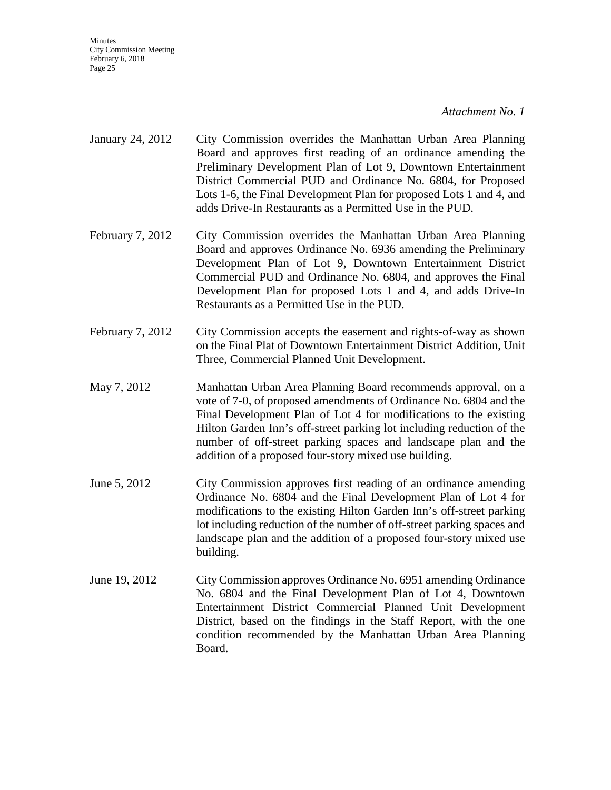- January 24, 2012 City Commission overrides the Manhattan Urban Area Planning Board and approves first reading of an ordinance amending the Preliminary Development Plan of Lot 9, Downtown Entertainment District Commercial PUD and Ordinance No. 6804, for Proposed Lots 1-6, the Final Development Plan for proposed Lots 1 and 4, and adds Drive-In Restaurants as a Permitted Use in the PUD.
- February 7, 2012 City Commission overrides the Manhattan Urban Area Planning Board and approves Ordinance No. 6936 amending the Preliminary Development Plan of Lot 9, Downtown Entertainment District Commercial PUD and Ordinance No. 6804, and approves the Final Development Plan for proposed Lots 1 and 4, and adds Drive-In Restaurants as a Permitted Use in the PUD.
- February 7, 2012 City Commission accepts the easement and rights-of-way as shown on the Final Plat of Downtown Entertainment District Addition, Unit Three, Commercial Planned Unit Development.
- May 7, 2012 Manhattan Urban Area Planning Board recommends approval, on a vote of 7-0, of proposed amendments of Ordinance No. 6804 and the Final Development Plan of Lot 4 for modifications to the existing Hilton Garden Inn's off-street parking lot including reduction of the number of off-street parking spaces and landscape plan and the addition of a proposed four-story mixed use building.
- June 5, 2012 City Commission approves first reading of an ordinance amending Ordinance No. 6804 and the Final Development Plan of Lot 4 for modifications to the existing Hilton Garden Inn's off-street parking lot including reduction of the number of off-street parking spaces and landscape plan and the addition of a proposed four-story mixed use building.
- June 19, 2012 City Commission approves Ordinance No. 6951 amending Ordinance No. 6804 and the Final Development Plan of Lot 4, Downtown Entertainment District Commercial Planned Unit Development District, based on the findings in the Staff Report, with the one condition recommended by the Manhattan Urban Area Planning Board.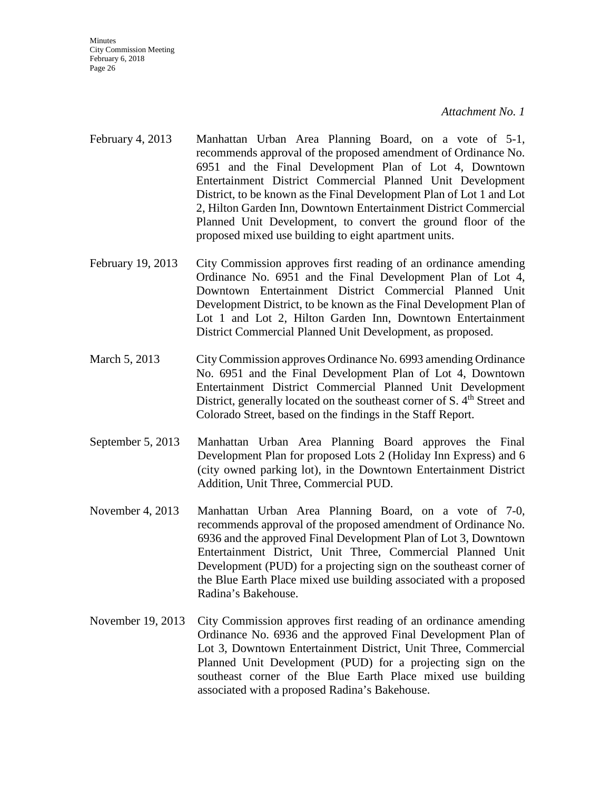- February 4, 2013 Manhattan Urban Area Planning Board, on a vote of 5-1, recommends approval of the proposed amendment of Ordinance No. 6951 and the Final Development Plan of Lot 4, Downtown Entertainment District Commercial Planned Unit Development District, to be known as the Final Development Plan of Lot 1 and Lot 2, Hilton Garden Inn, Downtown Entertainment District Commercial Planned Unit Development, to convert the ground floor of the proposed mixed use building to eight apartment units.
- February 19, 2013 City Commission approves first reading of an ordinance amending Ordinance No. 6951 and the Final Development Plan of Lot 4, Downtown Entertainment District Commercial Planned Unit Development District, to be known as the Final Development Plan of Lot 1 and Lot 2, Hilton Garden Inn, Downtown Entertainment District Commercial Planned Unit Development, as proposed.
- March 5, 2013 City Commission approves Ordinance No. 6993 amending Ordinance No. 6951 and the Final Development Plan of Lot 4, Downtown Entertainment District Commercial Planned Unit Development District, generally located on the southeast corner of S. 4<sup>th</sup> Street and Colorado Street, based on the findings in the Staff Report.
- September 5, 2013 Manhattan Urban Area Planning Board approves the Final Development Plan for proposed Lots 2 (Holiday Inn Express) and 6 (city owned parking lot), in the Downtown Entertainment District Addition, Unit Three, Commercial PUD.
- November 4, 2013 Manhattan Urban Area Planning Board, on a vote of 7-0, recommends approval of the proposed amendment of Ordinance No. 6936 and the approved Final Development Plan of Lot 3, Downtown Entertainment District, Unit Three, Commercial Planned Unit Development (PUD) for a projecting sign on the southeast corner of the Blue Earth Place mixed use building associated with a proposed Radina's Bakehouse.
- November 19, 2013 City Commission approves first reading of an ordinance amending Ordinance No. 6936 and the approved Final Development Plan of Lot 3, Downtown Entertainment District, Unit Three, Commercial Planned Unit Development (PUD) for a projecting sign on the southeast corner of the Blue Earth Place mixed use building associated with a proposed Radina's Bakehouse.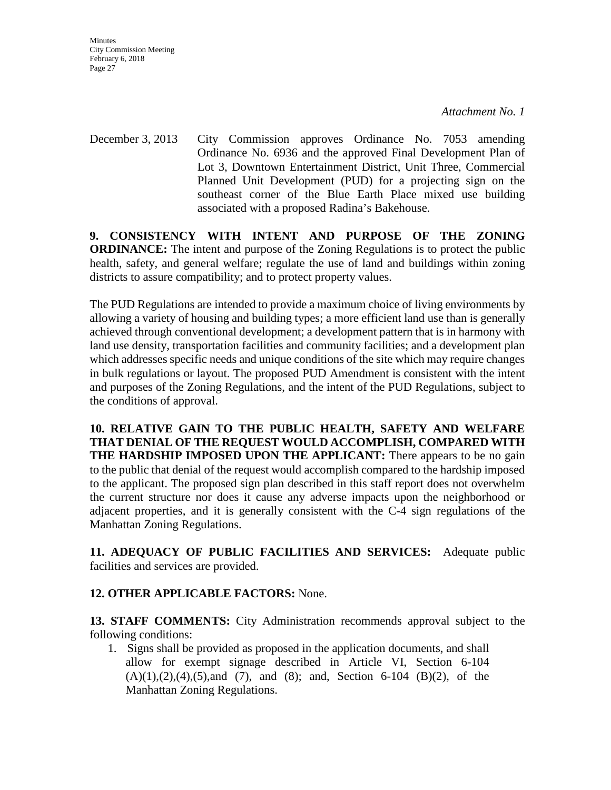**Minutes** City Commission Meeting February 6, 2018 Page 27

December 3, 2013 City Commission approves Ordinance No. 7053 amending Ordinance No. 6936 and the approved Final Development Plan of Lot 3, Downtown Entertainment District, Unit Three, Commercial Planned Unit Development (PUD) for a projecting sign on the southeast corner of the Blue Earth Place mixed use building associated with a proposed Radina's Bakehouse.

**9. CONSISTENCY WITH INTENT AND PURPOSE OF THE ZONING ORDINANCE:** The intent and purpose of the Zoning Regulations is to protect the public health, safety, and general welfare; regulate the use of land and buildings within zoning districts to assure compatibility; and to protect property values.

The PUD Regulations are intended to provide a maximum choice of living environments by allowing a variety of housing and building types; a more efficient land use than is generally achieved through conventional development; a development pattern that is in harmony with land use density, transportation facilities and community facilities; and a development plan which addresses specific needs and unique conditions of the site which may require changes in bulk regulations or layout. The proposed PUD Amendment is consistent with the intent and purposes of the Zoning Regulations, and the intent of the PUD Regulations, subject to the conditions of approval.

**10. RELATIVE GAIN TO THE PUBLIC HEALTH, SAFETY AND WELFARE THAT DENIAL OF THE REQUEST WOULD ACCOMPLISH, COMPARED WITH THE HARDSHIP IMPOSED UPON THE APPLICANT:** There appears to be no gain to the public that denial of the request would accomplish compared to the hardship imposed to the applicant. The proposed sign plan described in this staff report does not overwhelm the current structure nor does it cause any adverse impacts upon the neighborhood or adjacent properties, and it is generally consistent with the C-4 sign regulations of the Manhattan Zoning Regulations.

**11. ADEQUACY OF PUBLIC FACILITIES AND SERVICES:** Adequate public facilities and services are provided.

## **12. OTHER APPLICABLE FACTORS:** None.

**13. STAFF COMMENTS:** City Administration recommends approval subject to the following conditions:

1. Signs shall be provided as proposed in the application documents, and shall allow for exempt signage described in Article VI, Section 6-104  $(A)(1),(2),(4),(5)$ , and  $(7)$ , and  $(8)$ ; and, Section 6-104  $(B)(2)$ , of the Manhattan Zoning Regulations.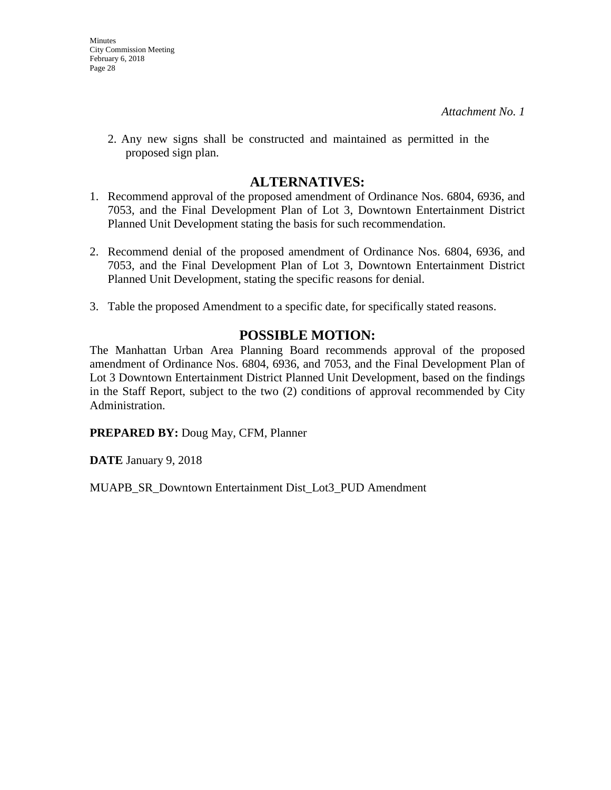2. Any new signs shall be constructed and maintained as permitted in the proposed sign plan.

## **ALTERNATIVES:**

- 1. Recommend approval of the proposed amendment of Ordinance Nos. 6804, 6936, and 7053, and the Final Development Plan of Lot 3, Downtown Entertainment District Planned Unit Development stating the basis for such recommendation.
- 2. Recommend denial of the proposed amendment of Ordinance Nos. 6804, 6936, and 7053, and the Final Development Plan of Lot 3, Downtown Entertainment District Planned Unit Development, stating the specific reasons for denial.
- 3. Table the proposed Amendment to a specific date, for specifically stated reasons.

## **POSSIBLE MOTION:**

The Manhattan Urban Area Planning Board recommends approval of the proposed amendment of Ordinance Nos. 6804, 6936, and 7053, and the Final Development Plan of Lot 3 Downtown Entertainment District Planned Unit Development, based on the findings in the Staff Report, subject to the two (2) conditions of approval recommended by City Administration.

**PREPARED BY:** Doug May, CFM, Planner

**DATE** January 9, 2018

MUAPB\_SR\_Downtown Entertainment Dist\_Lot3\_PUD Amendment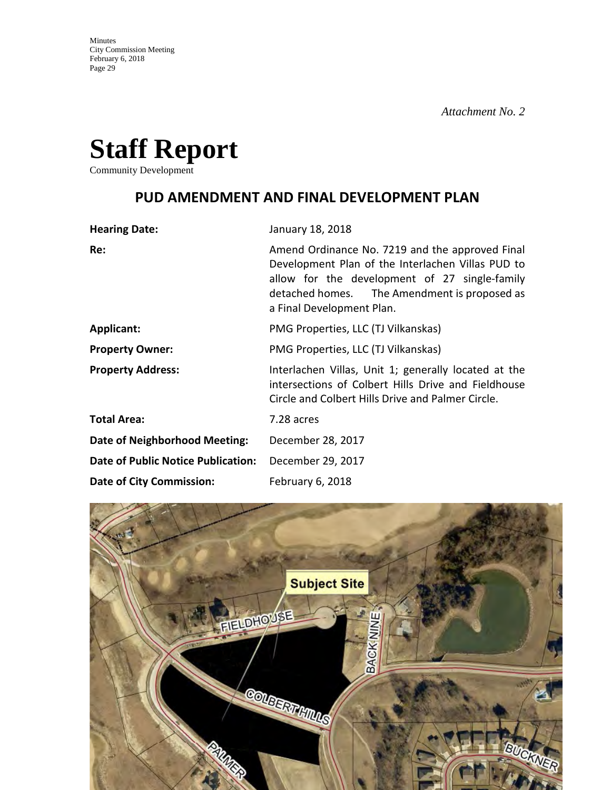

Community Development

## **PUD AMENDMENT AND FINAL DEVELOPMENT PLAN**

| <b>Hearing Date:</b>                      | January 18, 2018                                                                                                                                                                                                                   |
|-------------------------------------------|------------------------------------------------------------------------------------------------------------------------------------------------------------------------------------------------------------------------------------|
| Re:                                       | Amend Ordinance No. 7219 and the approved Final<br>Development Plan of the Interlachen Villas PUD to<br>allow for the development of 27 single-family<br>detached homes. The Amendment is proposed as<br>a Final Development Plan. |
| <b>Applicant:</b>                         | PMG Properties, LLC (TJ Vilkanskas)                                                                                                                                                                                                |
| <b>Property Owner:</b>                    | PMG Properties, LLC (TJ Vilkanskas)                                                                                                                                                                                                |
| <b>Property Address:</b>                  | Interlachen Villas, Unit 1; generally located at the<br>intersections of Colbert Hills Drive and Fieldhouse<br>Circle and Colbert Hills Drive and Palmer Circle.                                                                   |
| <b>Total Area:</b>                        | 7.28 acres                                                                                                                                                                                                                         |
| Date of Neighborhood Meeting:             | December 28, 2017                                                                                                                                                                                                                  |
| <b>Date of Public Notice Publication:</b> | December 29, 2017                                                                                                                                                                                                                  |
| <b>Date of City Commission:</b>           | February 6, 2018                                                                                                                                                                                                                   |

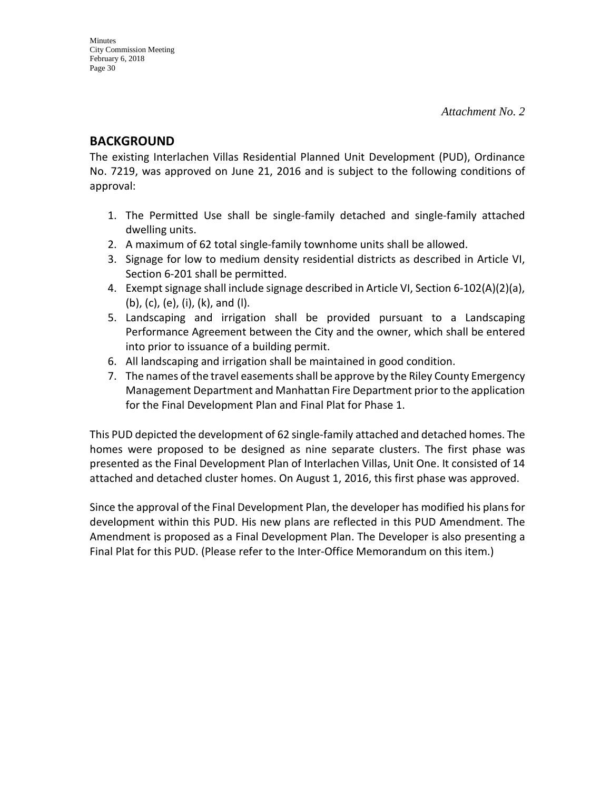## **BACKGROUND**

The existing Interlachen Villas Residential Planned Unit Development (PUD), Ordinance No. 7219, was approved on June 21, 2016 and is subject to the following conditions of approval:

- 1. The Permitted Use shall be single-family detached and single-family attached dwelling units.
- 2. A maximum of 62 total single-family townhome units shall be allowed.
- 3. Signage for low to medium density residential districts as described in Article VI, Section 6-201 shall be permitted.
- 4. Exempt signage shall include signage described in Article VI, Section 6-102(A)(2)(a), (b), (c), (e), (i), (k), and (l).
- 5. Landscaping and irrigation shall be provided pursuant to a Landscaping Performance Agreement between the City and the owner, which shall be entered into prior to issuance of a building permit.
- 6. All landscaping and irrigation shall be maintained in good condition.
- 7. The names of the travel easements shall be approve by the Riley County Emergency Management Department and Manhattan Fire Department prior to the application for the Final Development Plan and Final Plat for Phase 1.

This PUD depicted the development of 62 single-family attached and detached homes. The homes were proposed to be designed as nine separate clusters. The first phase was presented as the Final Development Plan of Interlachen Villas, Unit One. It consisted of 14 attached and detached cluster homes. On August 1, 2016, this first phase was approved.

Since the approval of the Final Development Plan, the developer has modified his plans for development within this PUD. His new plans are reflected in this PUD Amendment. The Amendment is proposed as a Final Development Plan. The Developer is also presenting a Final Plat for this PUD. (Please refer to the Inter-Office Memorandum on this item.)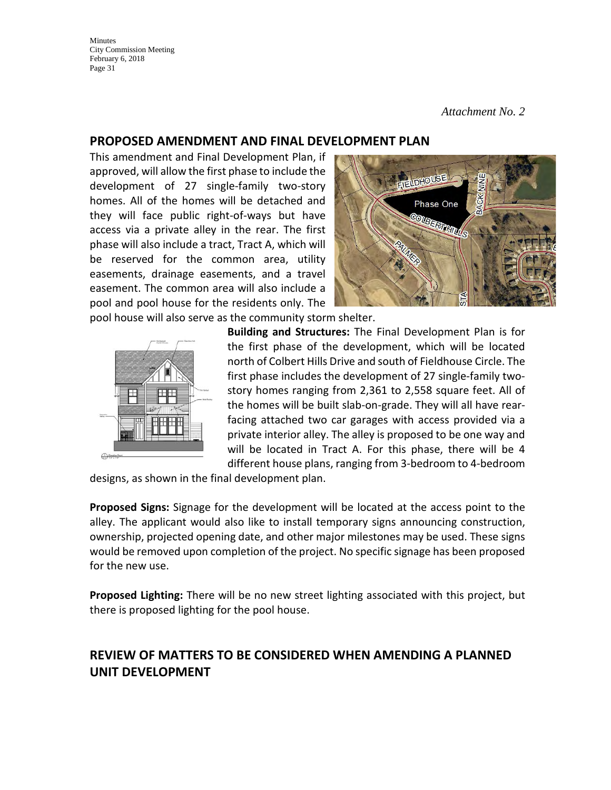*Attachment No. 2*

## **PROPOSED AMENDMENT AND FINAL DEVELOPMENT PLAN**

This amendment and Final Development Plan, if approved, will allow the first phase to include the development of 27 single-family two-story homes. All of the homes will be detached and they will face public right-of-ways but have access via a private alley in the rear. The first phase will also include a tract, Tract A, which will be reserved for the common area, utility easements, drainage easements, and a travel easement. The common area will also include a pool and pool house for the residents only. The



pool house will also serve as the community storm shelter.



**Building and Structures:** The Final Development Plan is for the first phase of the development, which will be located north of Colbert Hills Drive and south of Fieldhouse Circle. The first phase includes the development of 27 single-family twostory homes ranging from 2,361 to 2,558 square feet. All of the homes will be built slab-on-grade. They will all have rearfacing attached two car garages with access provided via a private interior alley. The alley is proposed to be one way and will be located in Tract A. For this phase, there will be 4 different house plans, ranging from 3-bedroom to 4-bedroom

designs, as shown in the final development plan.

**Proposed Signs:** Signage for the development will be located at the access point to the alley. The applicant would also like to install temporary signs announcing construction, ownership, projected opening date, and other major milestones may be used. These signs would be removed upon completion of the project. No specific signage has been proposed for the new use.

**Proposed Lighting:** There will be no new street lighting associated with this project, but there is proposed lighting for the pool house.

## **REVIEW OF MATTERS TO BE CONSIDERED WHEN AMENDING A PLANNED UNIT DEVELOPMENT**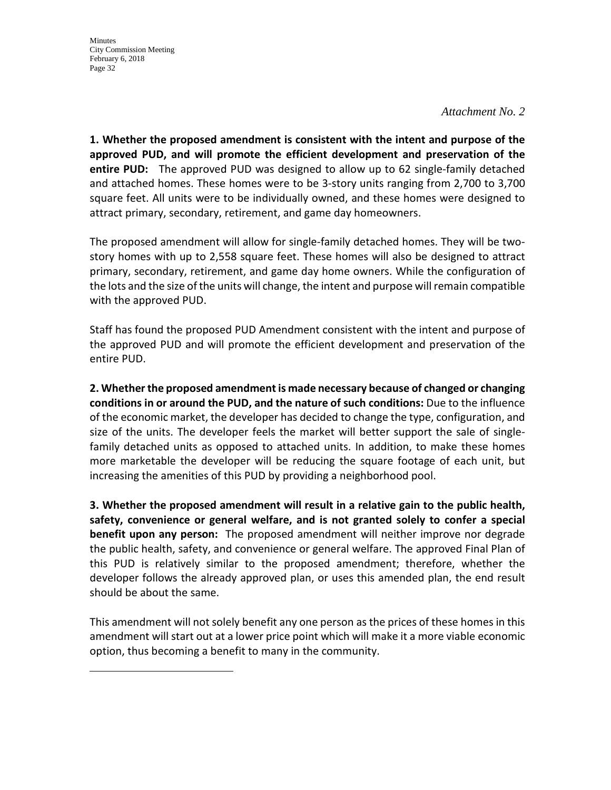#### *Attachment No. 2*

**1. Whether the proposed amendment is consistent with the intent and purpose of the approved PUD, and will promote the efficient development and preservation of the entire PUD:** The approved PUD was designed to allow up to 62 single-family detached and attached homes. These homes were to be 3-story units ranging from 2,700 to 3,700 square feet. All units were to be individually owned, and these homes were designed to attract primary, secondary, retirement, and game day homeowners.

The proposed amendment will allow for single-family detached homes. They will be twostory homes with up to 2,558 square feet. These homes will also be designed to attract primary, secondary, retirement, and game day home owners. While the configuration of the lots and the size of the units will change, the intent and purpose will remain compatible with the approved PUD.

Staff has found the proposed PUD Amendment consistent with the intent and purpose of the approved PUD and will promote the efficient development and preservation of the entire PUD.

**2. Whether the proposed amendment is made necessary because of changed or changing conditions in or around the PUD, and the nature of such conditions:** Due to the influence of the economic market, the developer has decided to change the type, configuration, and size of the units. The developer feels the market will better support the sale of singlefamily detached units as opposed to attached units. In addition, to make these homes more marketable the developer will be reducing the square footage of each unit, but increasing the amenities of this PUD by providing a neighborhood pool.

**3. Whether the proposed amendment will result in a relative gain to the public health, safety, convenience or general welfare, and is not granted solely to confer a special benefit upon any person:** The proposed amendment will neither improve nor degrade the public health, safety, and convenience or general welfare. The approved Final Plan of this PUD is relatively similar to the proposed amendment; therefore, whether the developer follows the already approved plan, or uses this amended plan, the end result should be about the same.

This amendment will not solely benefit any one person as the prices of these homes in this amendment will start out at a lower price point which will make it a more viable economic option, thus becoming a benefit to many in the community.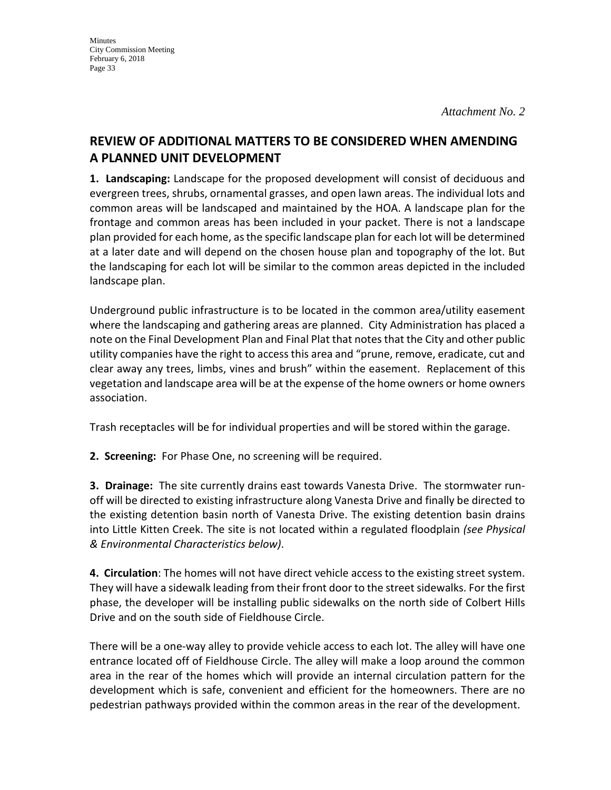## **REVIEW OF ADDITIONAL MATTERS TO BE CONSIDERED WHEN AMENDING A PLANNED UNIT DEVELOPMENT**

**1. Landscaping:** Landscape for the proposed development will consist of deciduous and evergreen trees, shrubs, ornamental grasses, and open lawn areas. The individual lots and common areas will be landscaped and maintained by the HOA. A landscape plan for the frontage and common areas has been included in your packet. There is not a landscape plan provided for each home, as the specific landscape plan for each lot will be determined at a later date and will depend on the chosen house plan and topography of the lot. But the landscaping for each lot will be similar to the common areas depicted in the included landscape plan.

Underground public infrastructure is to be located in the common area/utility easement where the landscaping and gathering areas are planned. City Administration has placed a note on the Final Development Plan and Final Plat that notes that the City and other public utility companies have the right to access this area and "prune, remove, eradicate, cut and clear away any trees, limbs, vines and brush" within the easement. Replacement of this vegetation and landscape area will be at the expense of the home owners or home owners association.

Trash receptacles will be for individual properties and will be stored within the garage.

**2. Screening:** For Phase One, no screening will be required.

**3. Drainage:** The site currently drains east towards Vanesta Drive. The stormwater runoff will be directed to existing infrastructure along Vanesta Drive and finally be directed to the existing detention basin north of Vanesta Drive. The existing detention basin drains into Little Kitten Creek. The site is not located within a regulated floodplain *(see Physical & Environmental Characteristics below)*.

**4. Circulation**: The homes will not have direct vehicle access to the existing street system. They will have a sidewalk leading from their front door to the street sidewalks. For the first phase, the developer will be installing public sidewalks on the north side of Colbert Hills Drive and on the south side of Fieldhouse Circle.

There will be a one-way alley to provide vehicle access to each lot. The alley will have one entrance located off of Fieldhouse Circle. The alley will make a loop around the common area in the rear of the homes which will provide an internal circulation pattern for the development which is safe, convenient and efficient for the homeowners. There are no pedestrian pathways provided within the common areas in the rear of the development.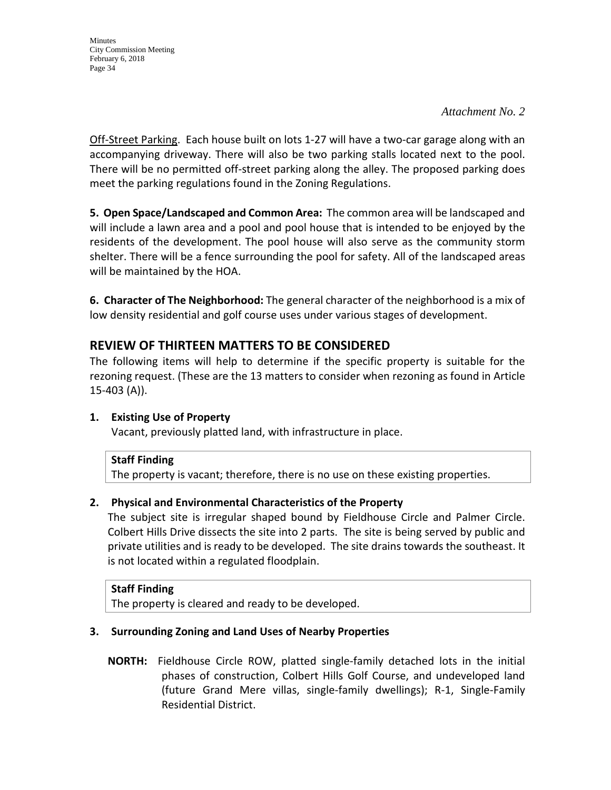*Attachment No. 2*

Off-Street Parking. Each house built on lots 1-27 will have a two-car garage along with an accompanying driveway. There will also be two parking stalls located next to the pool. There will be no permitted off-street parking along the alley. The proposed parking does meet the parking regulations found in the Zoning Regulations.

**5. Open Space/Landscaped and Common Area:** The common area will be landscaped and will include a lawn area and a pool and pool house that is intended to be enjoyed by the residents of the development. The pool house will also serve as the community storm shelter. There will be a fence surrounding the pool for safety. All of the landscaped areas will be maintained by the HOA.

**6. Character of The Neighborhood:** The general character of the neighborhood is a mix of low density residential and golf course uses under various stages of development.

## **REVIEW OF THIRTEEN MATTERS TO BE CONSIDERED**

The following items will help to determine if the specific property is suitable for the rezoning request. (These are the 13 matters to consider when rezoning as found in Article 15-403 (A)).

## **1. Existing Use of Property**

Vacant, previously platted land, with infrastructure in place.

### **Staff Finding**

The property is vacant; therefore, there is no use on these existing properties.

### **2. Physical and Environmental Characteristics of the Property**

The subject site is irregular shaped bound by Fieldhouse Circle and Palmer Circle. Colbert Hills Drive dissects the site into 2 parts. The site is being served by public and private utilities and is ready to be developed. The site drains towards the southeast. It is not located within a regulated floodplain.

### **Staff Finding**

The property is cleared and ready to be developed.

### **3. Surrounding Zoning and Land Uses of Nearby Properties**

 **NORTH:** Fieldhouse Circle ROW, platted single-family detached lots in the initial phases of construction, Colbert Hills Golf Course, and undeveloped land (future Grand Mere villas, single-family dwellings); R-1, Single-Family Residential District.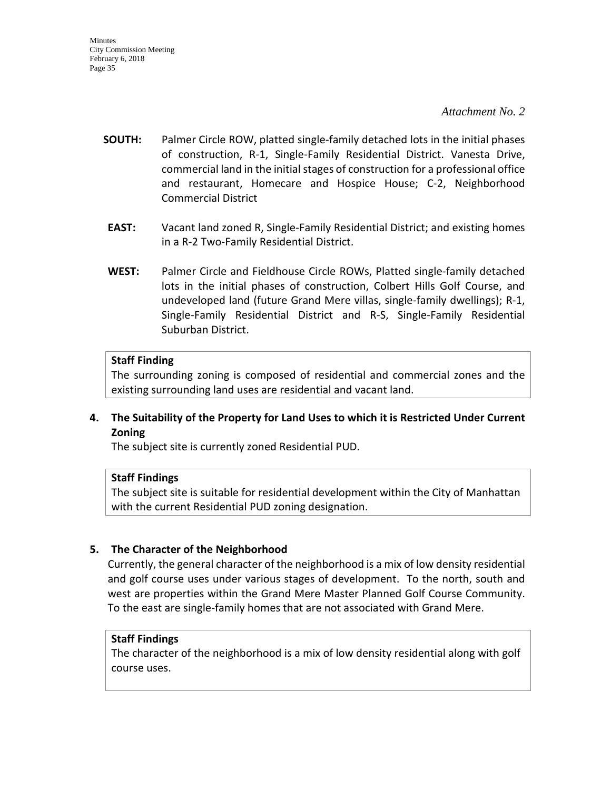#### *Attachment No. 2*

- **SOUTH:** Palmer Circle ROW, platted single-family detached lots in the initial phases of construction, R-1, Single-Family Residential District. Vanesta Drive, commercial land in the initial stages of construction for a professional office and restaurant, Homecare and Hospice House; C-2, Neighborhood Commercial District
- **EAST:** Vacant land zoned R, Single-Family Residential District; and existing homes in a R-2 Two-Family Residential District.
- **WEST:** Palmer Circle and Fieldhouse Circle ROWs, Platted single-family detached lots in the initial phases of construction, Colbert Hills Golf Course, and undeveloped land (future Grand Mere villas, single-family dwellings); R-1, Single-Family Residential District and R-S, Single-Family Residential Suburban District.

#### **Staff Finding**

The surrounding zoning is composed of residential and commercial zones and the existing surrounding land uses are residential and vacant land.

#### **4. The Suitability of the Property for Land Uses to which it is Restricted Under Current Zoning**

The subject site is currently zoned Residential PUD.

#### **Staff Findings**

The subject site is suitable for residential development within the City of Manhattan with the current Residential PUD zoning designation.

#### **5. The Character of the Neighborhood**

Currently, the general character of the neighborhood is a mix of low density residential and golf course uses under various stages of development. To the north, south and west are properties within the Grand Mere Master Planned Golf Course Community. To the east are single-family homes that are not associated with Grand Mere.

#### **Staff Findings**

The character of the neighborhood is a mix of low density residential along with golf course uses.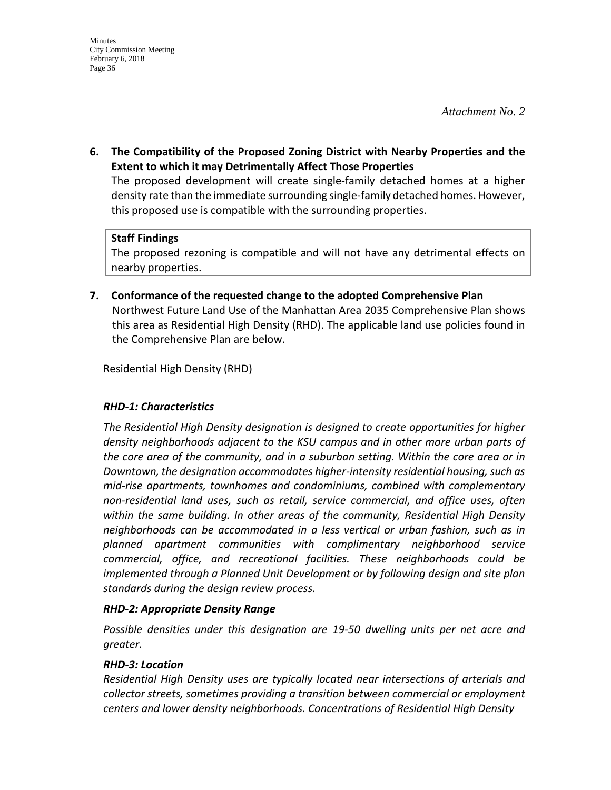**6. The Compatibility of the Proposed Zoning District with Nearby Properties and the Extent to which it may Detrimentally Affect Those Properties**

The proposed development will create single-family detached homes at a higher density rate than the immediate surrounding single-family detached homes. However, this proposed use is compatible with the surrounding properties.

#### **Staff Findings**

The proposed rezoning is compatible and will not have any detrimental effects on nearby properties.

**7. Conformance of the requested change to the adopted Comprehensive Plan** Northwest Future Land Use of the Manhattan Area 2035 Comprehensive Plan shows this area as Residential High Density (RHD). The applicable land use policies found in the Comprehensive Plan are below.

Residential High Density (RHD)

### *RHD-1: Characteristics*

*The Residential High Density designation is designed to create opportunities for higher density neighborhoods adjacent to the KSU campus and in other more urban parts of the core area of the community, and in a suburban setting. Within the core area or in Downtown, the designation accommodates higher-intensity residential housing, such as mid-rise apartments, townhomes and condominiums, combined with complementary non-residential land uses, such as retail, service commercial, and office uses, often within the same building. In other areas of the community, Residential High Density neighborhoods can be accommodated in a less vertical or urban fashion, such as in planned apartment communities with complimentary neighborhood service commercial, office, and recreational facilities. These neighborhoods could be implemented through a Planned Unit Development or by following design and site plan standards during the design review process.* 

### *RHD-2: Appropriate Density Range*

*Possible densities under this designation are 19-50 dwelling units per net acre and greater.* 

### *RHD-3: Location*

*Residential High Density uses are typically located near intersections of arterials and collector streets, sometimes providing a transition between commercial or employment centers and lower density neighborhoods. Concentrations of Residential High Density*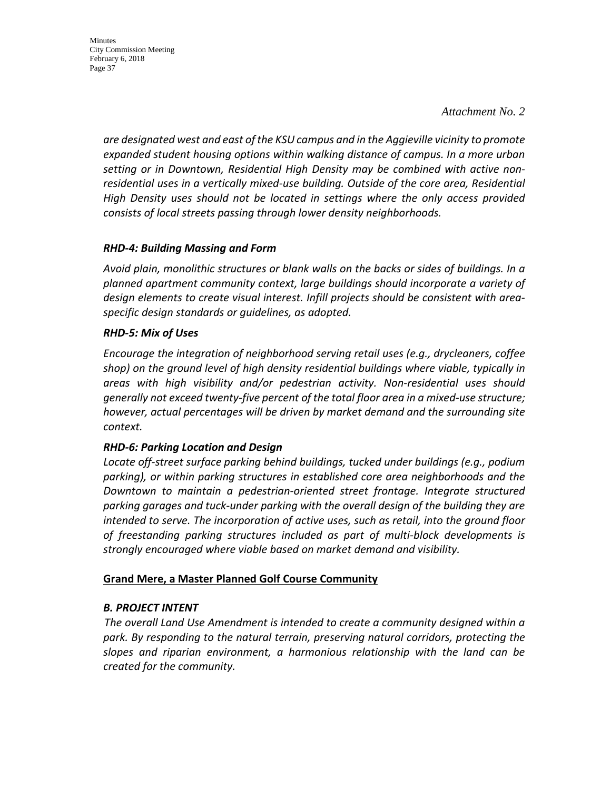*Attachment No. 2*

*are designated west and east of the KSU campus and in the Aggieville vicinity to promote expanded student housing options within walking distance of campus. In a more urban setting or in Downtown, Residential High Density may be combined with active nonresidential uses in a vertically mixed-use building. Outside of the core area, Residential High Density uses should not be located in settings where the only access provided consists of local streets passing through lower density neighborhoods.*

#### *RHD-4: Building Massing and Form*

*Avoid plain, monolithic structures or blank walls on the backs or sides of buildings. In a planned apartment community context, large buildings should incorporate a variety of design elements to create visual interest. Infill projects should be consistent with areaspecific design standards or guidelines, as adopted.* 

#### *RHD-5: Mix of Uses*

*Encourage the integration of neighborhood serving retail uses (e.g., drycleaners, coffee shop) on the ground level of high density residential buildings where viable, typically in areas with high visibility and/or pedestrian activity. Non-residential uses should generally not exceed twenty-five percent of the total floor area in a mixed-use structure; however, actual percentages will be driven by market demand and the surrounding site context.* 

### *RHD-6: Parking Location and Design*

*Locate off-street surface parking behind buildings, tucked under buildings (e.g., podium parking), or within parking structures in established core area neighborhoods and the Downtown to maintain a pedestrian-oriented street frontage. Integrate structured parking garages and tuck-under parking with the overall design of the building they are intended to serve. The incorporation of active uses, such as retail, into the ground floor of freestanding parking structures included as part of multi-block developments is strongly encouraged where viable based on market demand and visibility.*

### **Grand Mere, a Master Planned Golf Course Community**

#### *B. PROJECT INTENT*

 *The overall Land Use Amendment is intended to create a community designed within a park. By responding to the natural terrain, preserving natural corridors, protecting the slopes and riparian environment, a harmonious relationship with the land can be created for the community.*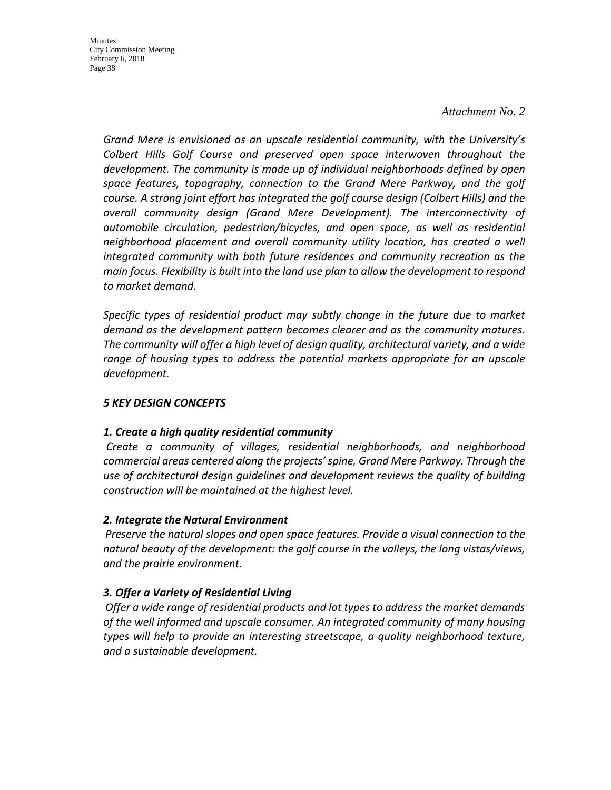#### *Attachment No. 2*

*Grand Mere is envisioned as an upscale residential community, with the University's Colbert Hills Golf Course and preserved open space interwoven throughout the development. The community is made up of individual neighborhoods defined by open space features, topography, connection to the Grand Mere Parkway, and the golf course. A strong joint effort has integrated the golf course design (Colbert Hills) and the overall community design (Grand Mere Development). The interconnectivity of automobile circulation, pedestrian/bicycles, and open space, as well as residential neighborhood placement and overall community utility location, has created a well integrated community with both future residences and community recreation as the main focus. Flexibility is built into the land use plan to allow the development to respond to market demand.*

*Specific types of residential product may subtly change in the future due to market demand as the development pattern becomes clearer and as the community matures. The community will offer a high level of design quality, architectural variety, and a wide*  range of housing types to address the potential markets appropriate for an upscale *development.*

#### *5 KEY DESIGN CONCEPTS*

#### *1. Create a high quality residential community*

 *Create a community of villages, residential neighborhoods, and neighborhood commercial areas centered along the projects' spine, Grand Mere Parkway. Through the use of architectural design guidelines and development reviews the quality of building construction will be maintained at the highest level.*

#### *2. Integrate the Natural Environment*

 *Preserve the natural slopes and open space features. Provide a visual connection to the natural beauty of the development: the golf course in the valleys, the long vistas/views, and the prairie environment.*

### *3. Offer a Variety of Residential Living*

 *Offer a wide range of residential products and lot types to address the market demands of the well informed and upscale consumer. An integrated community of many housing types will help to provide an interesting streetscape, a quality neighborhood texture, and a sustainable development.*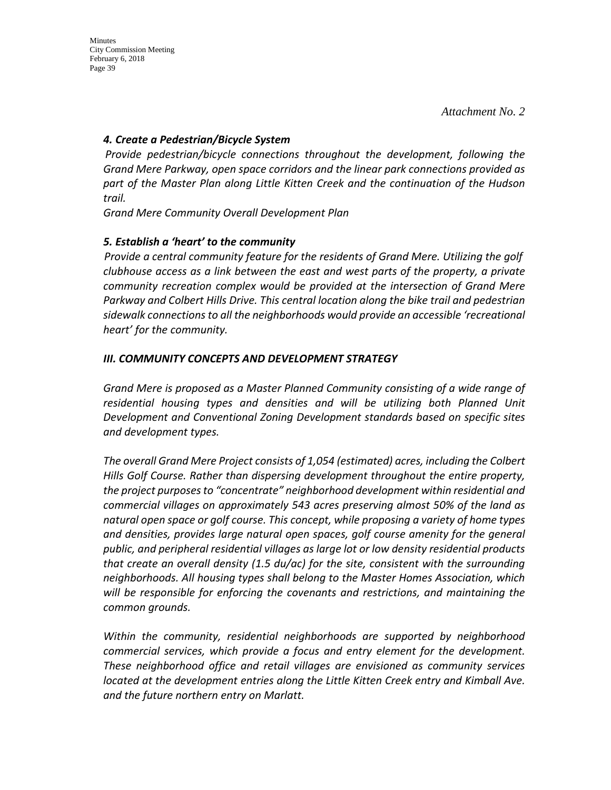#### *4. Create a Pedestrian/Bicycle System*

 *Provide pedestrian/bicycle connections throughout the development, following the Grand Mere Parkway, open space corridors and the linear park connections provided as part of the Master Plan along Little Kitten Creek and the continuation of the Hudson trail.*

*Grand Mere Community Overall Development Plan* 

### *5. Establish a 'heart' to the community*

 *Provide a central community feature for the residents of Grand Mere. Utilizing the golf clubhouse access as a link between the east and west parts of the property, a private community recreation complex would be provided at the intersection of Grand Mere Parkway and Colbert Hills Drive. This central location along the bike trail and pedestrian sidewalk connections to all the neighborhoods would provide an accessible 'recreational heart' for the community.*

### *III. COMMUNITY CONCEPTS AND DEVELOPMENT STRATEGY*

*Grand Mere is proposed as a Master Planned Community consisting of a wide range of residential housing types and densities and will be utilizing both Planned Unit Development and Conventional Zoning Development standards based on specific sites and development types.*

*The overall Grand Mere Project consists of 1,054 (estimated) acres, including the Colbert Hills Golf Course. Rather than dispersing development throughout the entire property, the project purposes to "concentrate" neighborhood development within residential and commercial villages on approximately 543 acres preserving almost 50% of the land as natural open space or golf course. This concept, while proposing a variety of home types and densities, provides large natural open spaces, golf course amenity for the general public, and peripheral residential villages as large lot or low density residential products that create an overall density (1.5 du/ac) for the site, consistent with the surrounding neighborhoods. All housing types shall belong to the Master Homes Association, which will be responsible for enforcing the covenants and restrictions, and maintaining the common grounds.*

*Within the community, residential neighborhoods are supported by neighborhood commercial services, which provide a focus and entry element for the development. These neighborhood office and retail villages are envisioned as community services located at the development entries along the Little Kitten Creek entry and Kimball Ave. and the future northern entry on Marlatt.*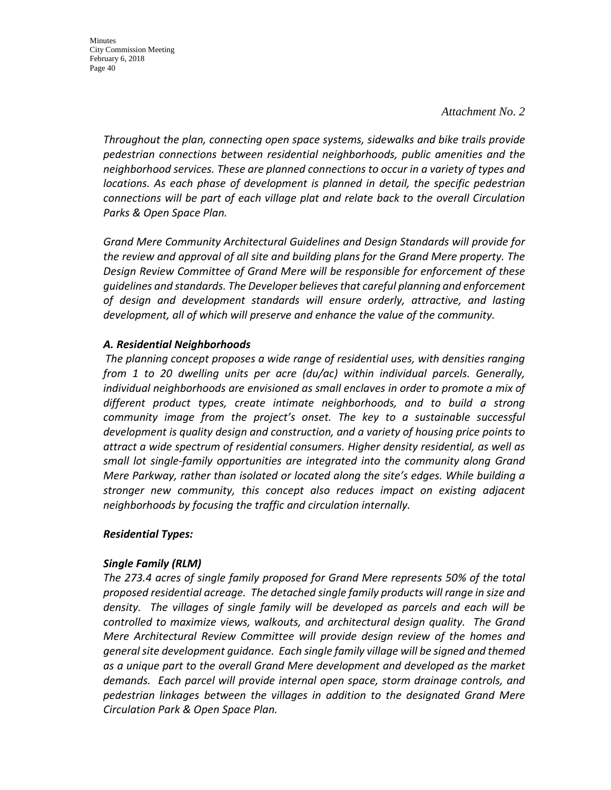#### *Attachment No. 2*

*Throughout the plan, connecting open space systems, sidewalks and bike trails provide pedestrian connections between residential neighborhoods, public amenities and the neighborhood services. These are planned connections to occur in a variety of types and locations. As each phase of development is planned in detail, the specific pedestrian connections will be part of each village plat and relate back to the overall Circulation Parks & Open Space Plan.*

*Grand Mere Community Architectural Guidelines and Design Standards will provide for the review and approval of all site and building plans for the Grand Mere property. The Design Review Committee of Grand Mere will be responsible for enforcement of these guidelines and standards. The Developer believes that careful planning and enforcement of design and development standards will ensure orderly, attractive, and lasting development, all of which will preserve and enhance the value of the community.*

#### *A. Residential Neighborhoods*

 *The planning concept proposes a wide range of residential uses, with densities ranging from 1 to 20 dwelling units per acre (du/ac) within individual parcels. Generally, individual neighborhoods are envisioned as small enclaves in order to promote a mix of different product types, create intimate neighborhoods, and to build a strong community image from the project's onset. The key to a sustainable successful development is quality design and construction, and a variety of housing price points to attract a wide spectrum of residential consumers. Higher density residential, as well as small lot single-family opportunities are integrated into the community along Grand Mere Parkway, rather than isolated or located along the site's edges. While building a stronger new community, this concept also reduces impact on existing adjacent neighborhoods by focusing the traffic and circulation internally.*

#### *Residential Types:*

### *Single Family (RLM)*

*The 273.4 acres of single family proposed for Grand Mere represents 50% of the total proposed residential acreage. The detached single family products will range in size and density. The villages of single family will be developed as parcels and each will be controlled to maximize views, walkouts, and architectural design quality. The Grand Mere Architectural Review Committee will provide design review of the homes and general site development guidance. Each single family village will be signed and themed as a unique part to the overall Grand Mere development and developed as the market demands. Each parcel will provide internal open space, storm drainage controls, and pedestrian linkages between the villages in addition to the designated Grand Mere Circulation Park & Open Space Plan.*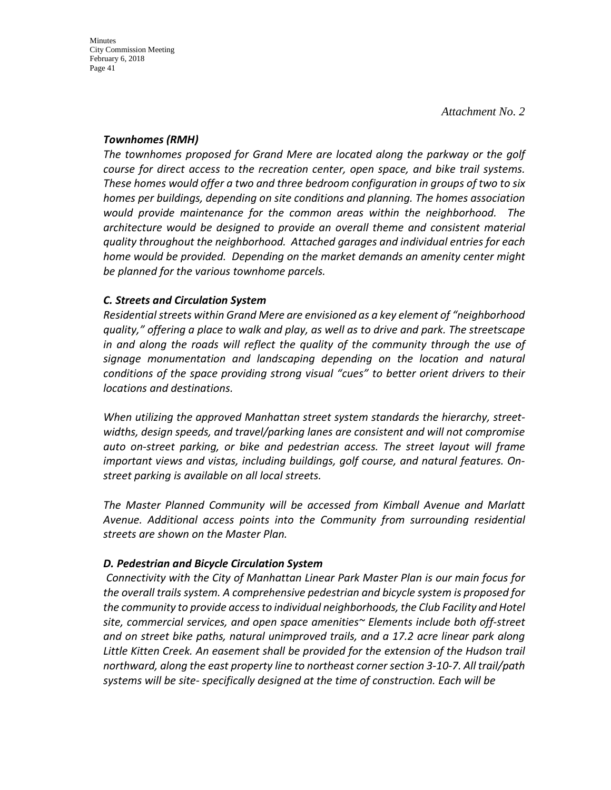#### *Townhomes (RMH)*

*The townhomes proposed for Grand Mere are located along the parkway or the golf course for direct access to the recreation center, open space, and bike trail systems. These homes would offer a two and three bedroom configuration in groups of two to six homes per buildings, depending on site conditions and planning. The homes association would provide maintenance for the common areas within the neighborhood. The architecture would be designed to provide an overall theme and consistent material quality throughout the neighborhood. Attached garages and individual entries for each home would be provided. Depending on the market demands an amenity center might be planned for the various townhome parcels.* 

### *C. Streets and Circulation System*

*Residential streets within Grand Mere are envisioned as a key element of "neighborhood quality," offering a place to walk and play, as well as to drive and park. The streetscape in and along the roads will reflect the quality of the community through the use of signage monumentation and landscaping depending on the location and natural conditions of the space providing strong visual "cues" to better orient drivers to their locations and destinations.*

*When utilizing the approved Manhattan street system standards the hierarchy, streetwidths, design speeds, and travel/parking lanes are consistent and will not compromise auto on-street parking, or bike and pedestrian access. The street layout will frame important views and vistas, including buildings, golf course, and natural features. Onstreet parking is available on all local streets.*

*The Master Planned Community will be accessed from Kimball Avenue and Marlatt Avenue. Additional access points into the Community from surrounding residential streets are shown on the Master Plan.*

### *D. Pedestrian and Bicycle Circulation System*

 *Connectivity with the City of Manhattan Linear Park Master Plan is our main focus for the overall trails system. A comprehensive pedestrian and bicycle system is proposed for the community to provide access to individual neighborhoods, the Club Facility and Hotel site, commercial services, and open space amenities~ Elements include both off-street and on street bike paths, natural unimproved trails, and a 17.2 acre linear park along Little Kitten Creek. An easement shall be provided for the extension of the Hudson trail northward, along the east property line to northeast corner section 3-10-7. All trail/path systems will be site- specifically designed at the time of construction. Each will be*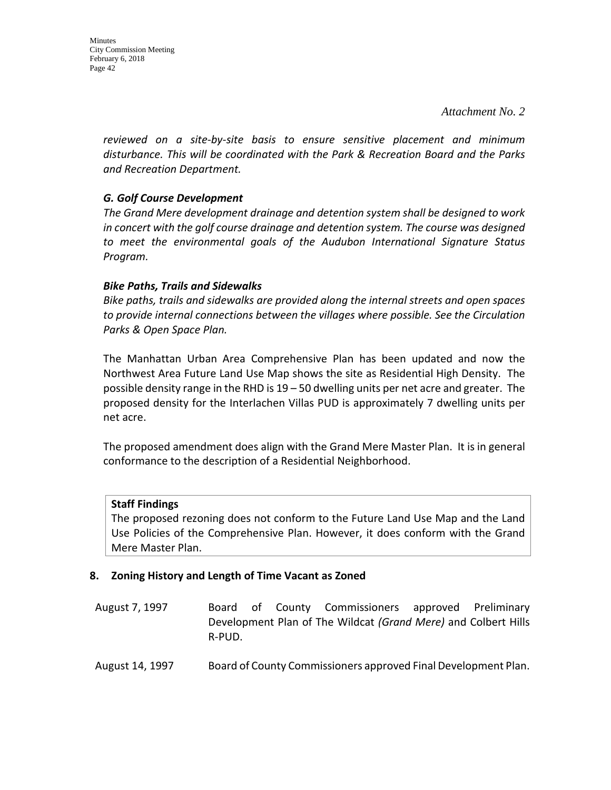*Attachment No. 2*

*reviewed on a site-by-site basis to ensure sensitive placement and minimum disturbance. This will be coordinated with the Park & Recreation Board and the Parks and Recreation Department.*

### *G. Golf Course Development*

*The Grand Mere development drainage and detention system shall be designed to work in concert with the golf course drainage and detention system. The course was designed to meet the environmental goals of the Audubon International Signature Status Program.*

### *Bike Paths, Trails and Sidewalks*

*Bike paths, trails and sidewalks are provided along the internal streets and open spaces to provide internal connections between the villages where possible. See the Circulation Parks & Open Space Plan.*

The Manhattan Urban Area Comprehensive Plan has been updated and now the Northwest Area Future Land Use Map shows the site as Residential High Density. The possible density range in the RHD is 19 – 50 dwelling units per net acre and greater. The proposed density for the Interlachen Villas PUD is approximately 7 dwelling units per net acre.

The proposed amendment does align with the Grand Mere Master Plan. It is in general conformance to the description of a Residential Neighborhood.

### **Staff Findings**

The proposed rezoning does not conform to the Future Land Use Map and the Land Use Policies of the Comprehensive Plan. However, it does conform with the Grand Mere Master Plan.

### **8. Zoning History and Length of Time Vacant as Zoned**

- August 7, 1997 Board of County Commissioners approved Preliminary Development Plan of The Wildcat *(Grand Mere)* and Colbert Hills R-PUD.
- August 14, 1997 Board of County Commissioners approved Final Development Plan.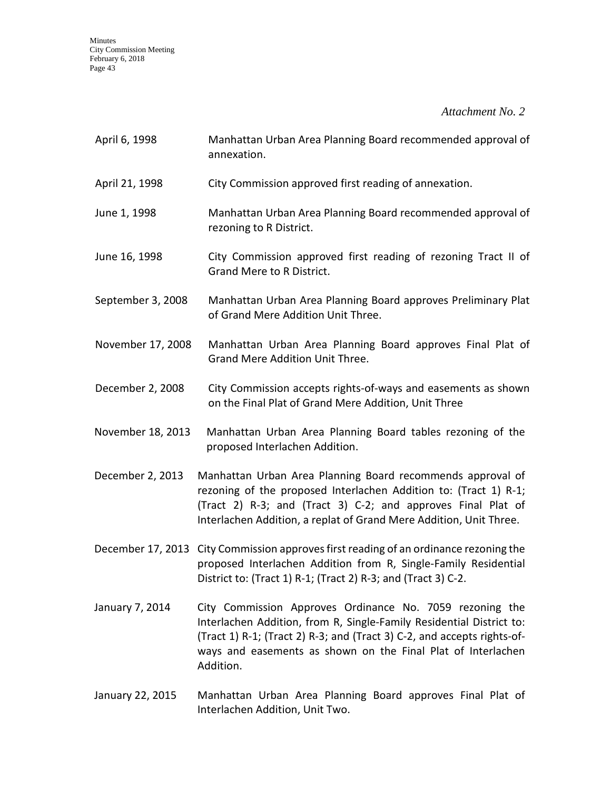*Attachment No. 2*

| April 6, 1998     | Manhattan Urban Area Planning Board recommended approval of<br>annexation.                                                                                                                                                                                                               |
|-------------------|------------------------------------------------------------------------------------------------------------------------------------------------------------------------------------------------------------------------------------------------------------------------------------------|
| April 21, 1998    | City Commission approved first reading of annexation.                                                                                                                                                                                                                                    |
| June 1, 1998      | Manhattan Urban Area Planning Board recommended approval of<br>rezoning to R District.                                                                                                                                                                                                   |
| June 16, 1998     | City Commission approved first reading of rezoning Tract II of<br>Grand Mere to R District.                                                                                                                                                                                              |
| September 3, 2008 | Manhattan Urban Area Planning Board approves Preliminary Plat<br>of Grand Mere Addition Unit Three.                                                                                                                                                                                      |
| November 17, 2008 | Manhattan Urban Area Planning Board approves Final Plat of<br>Grand Mere Addition Unit Three.                                                                                                                                                                                            |
| December 2, 2008  | City Commission accepts rights-of-ways and easements as shown<br>on the Final Plat of Grand Mere Addition, Unit Three                                                                                                                                                                    |
| November 18, 2013 | Manhattan Urban Area Planning Board tables rezoning of the<br>proposed Interlachen Addition.                                                                                                                                                                                             |
| December 2, 2013  | Manhattan Urban Area Planning Board recommends approval of<br>rezoning of the proposed Interlachen Addition to: (Tract 1) R-1;<br>(Tract 2) R-3; and (Tract 3) C-2; and approves Final Plat of<br>Interlachen Addition, a replat of Grand Mere Addition, Unit Three.                     |
|                   | December 17, 2013 City Commission approves first reading of an ordinance rezoning the<br>proposed Interlachen Addition from R, Single-Family Residential<br>District to: (Tract 1) R-1; (Tract 2) R-3; and (Tract 3) C-2.                                                                |
| January 7, 2014   | City Commission Approves Ordinance No. 7059 rezoning the<br>Interlachen Addition, from R, Single-Family Residential District to:<br>(Tract 1) R-1; (Tract 2) R-3; and (Tract 3) C-2, and accepts rights-of-<br>ways and easements as shown on the Final Plat of Interlachen<br>Addition. |

January 22, 2015 Manhattan Urban Area Planning Board approves Final Plat of Interlachen Addition, Unit Two.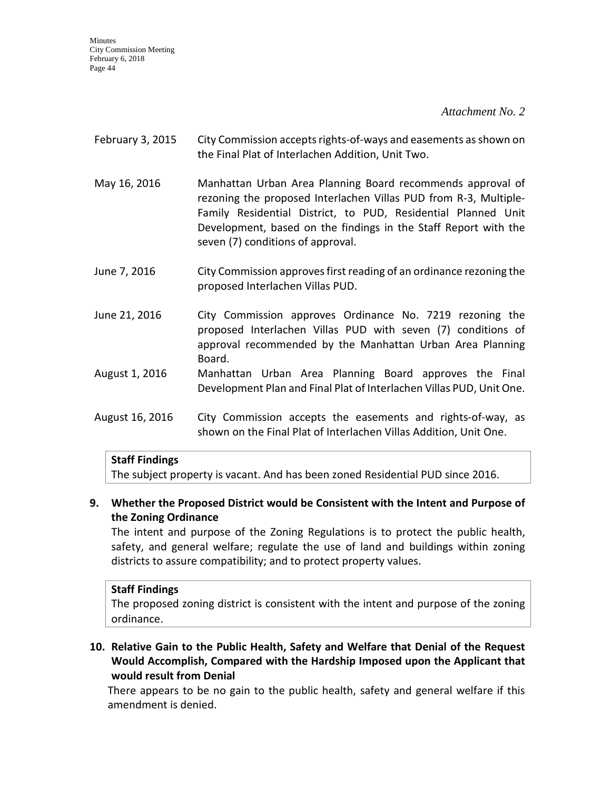*Attachment No. 2*

- February 3, 2015 City Commission accepts rights-of-ways and easements as shown on the Final Plat of Interlachen Addition, Unit Two.
- May 16, 2016 Manhattan Urban Area Planning Board recommends approval of rezoning the proposed Interlachen Villas PUD from R-3, Multiple-Family Residential District, to PUD, Residential Planned Unit Development, based on the findings in the Staff Report with the seven (7) conditions of approval.
- June 7, 2016 City Commission approves first reading of an ordinance rezoning the proposed Interlachen Villas PUD.
- June 21, 2016 City Commission approves Ordinance No. 7219 rezoning the proposed Interlachen Villas PUD with seven (7) conditions of approval recommended by the Manhattan Urban Area Planning Board.
- August 1, 2016 Manhattan Urban Area Planning Board approves the Final Development Plan and Final Plat of Interlachen Villas PUD, Unit One.
- August 16, 2016 City Commission accepts the easements and rights-of-way, as shown on the Final Plat of Interlachen Villas Addition, Unit One.

### **Staff Findings**

The subject property is vacant. And has been zoned Residential PUD since 2016.

### **9. Whether the Proposed District would be Consistent with the Intent and Purpose of the Zoning Ordinance**

The intent and purpose of the Zoning Regulations is to protect the public health, safety, and general welfare; regulate the use of land and buildings within zoning districts to assure compatibility; and to protect property values.

#### **Staff Findings**

The proposed zoning district is consistent with the intent and purpose of the zoning ordinance.

**10. Relative Gain to the Public Health, Safety and Welfare that Denial of the Request Would Accomplish, Compared with the Hardship Imposed upon the Applicant that would result from Denial**

There appears to be no gain to the public health, safety and general welfare if this amendment is denied.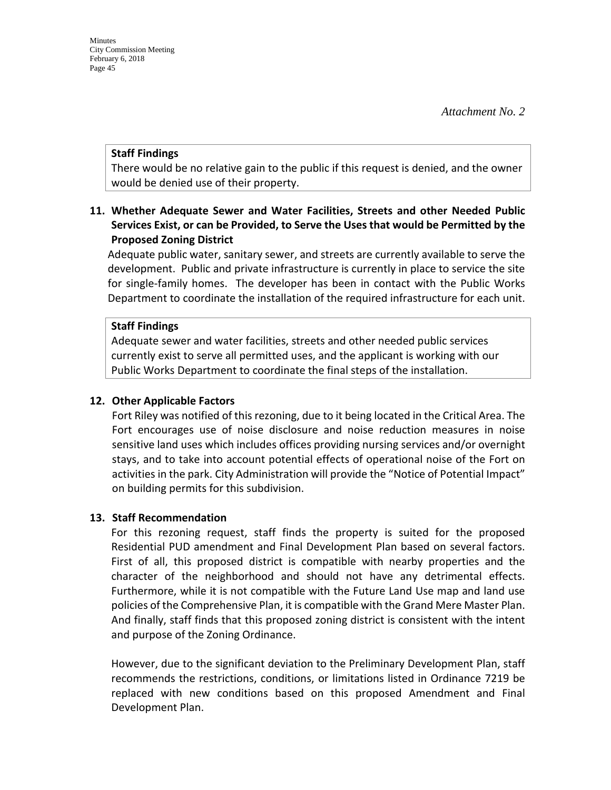#### **Staff Findings**

There would be no relative gain to the public if this request is denied, and the owner would be denied use of their property.

### **11. Whether Adequate Sewer and Water Facilities, Streets and other Needed Public Services Exist, or can be Provided, to Serve the Uses that would be Permitted by the Proposed Zoning District**

Adequate public water, sanitary sewer, and streets are currently available to serve the development. Public and private infrastructure is currently in place to service the site for single-family homes. The developer has been in contact with the Public Works Department to coordinate the installation of the required infrastructure for each unit.

#### **Staff Findings**

Adequate sewer and water facilities, streets and other needed public services currently exist to serve all permitted uses, and the applicant is working with our Public Works Department to coordinate the final steps of the installation.

#### **12. Other Applicable Factors**

Fort Riley was notified of this rezoning, due to it being located in the Critical Area. The Fort encourages use of noise disclosure and noise reduction measures in noise sensitive land uses which includes offices providing nursing services and/or overnight stays, and to take into account potential effects of operational noise of the Fort on activities in the park. City Administration will provide the "Notice of Potential Impact" on building permits for this subdivision.

#### **13. Staff Recommendation**

For this rezoning request, staff finds the property is suited for the proposed Residential PUD amendment and Final Development Plan based on several factors. First of all, this proposed district is compatible with nearby properties and the character of the neighborhood and should not have any detrimental effects. Furthermore, while it is not compatible with the Future Land Use map and land use policies of the Comprehensive Plan, it is compatible with the Grand Mere Master Plan. And finally, staff finds that this proposed zoning district is consistent with the intent and purpose of the Zoning Ordinance.

However, due to the significant deviation to the Preliminary Development Plan, staff recommends the restrictions, conditions, or limitations listed in Ordinance 7219 be replaced with new conditions based on this proposed Amendment and Final Development Plan.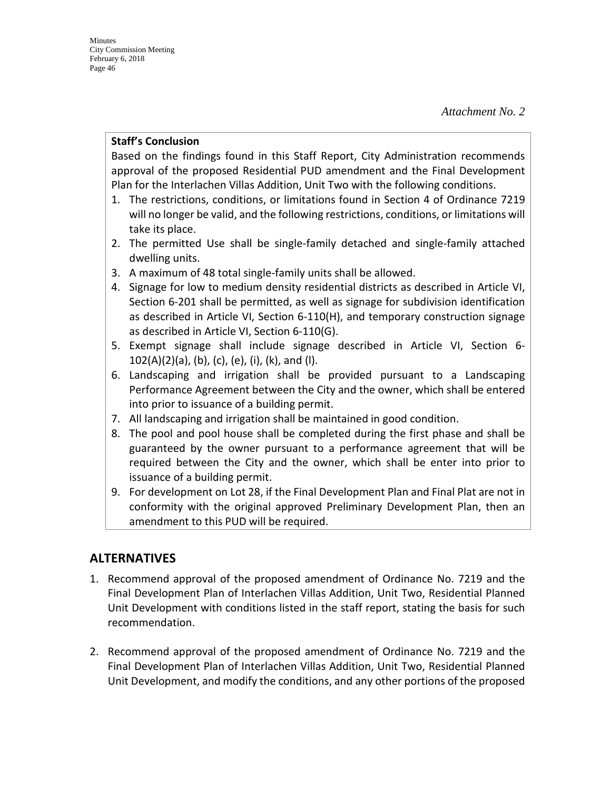#### **Staff's Conclusion**

Based on the findings found in this Staff Report, City Administration recommends approval of the proposed Residential PUD amendment and the Final Development Plan for the Interlachen Villas Addition, Unit Two with the following conditions.

- 1. The restrictions, conditions, or limitations found in Section 4 of Ordinance 7219 will no longer be valid, and the following restrictions, conditions, or limitations will take its place.
- 2. The permitted Use shall be single-family detached and single-family attached dwelling units.
- 3. A maximum of 48 total single-family units shall be allowed.
- 4. Signage for low to medium density residential districts as described in Article VI, Section 6-201 shall be permitted, as well as signage for subdivision identification as described in Article VI, Section 6-110(H), and temporary construction signage as described in Article VI, Section 6-110(G).
- 5. Exempt signage shall include signage described in Article VI, Section 6-  $102(A)(2)(a)$ , (b), (c), (e), (i), (k), and (l).
- 6. Landscaping and irrigation shall be provided pursuant to a Landscaping Performance Agreement between the City and the owner, which shall be entered into prior to issuance of a building permit.
- 7. All landscaping and irrigation shall be maintained in good condition.
- 8. The pool and pool house shall be completed during the first phase and shall be guaranteed by the owner pursuant to a performance agreement that will be required between the City and the owner, which shall be enter into prior to issuance of a building permit.
- 9. For development on Lot 28, if the Final Development Plan and Final Plat are not in conformity with the original approved Preliminary Development Plan, then an amendment to this PUD will be required.

## **ALTERNATIVES**

- 1. Recommend approval of the proposed amendment of Ordinance No. 7219 and the Final Development Plan of Interlachen Villas Addition, Unit Two, Residential Planned Unit Development with conditions listed in the staff report, stating the basis for such recommendation.
- 2. Recommend approval of the proposed amendment of Ordinance No. 7219 and the Final Development Plan of Interlachen Villas Addition, Unit Two, Residential Planned Unit Development, and modify the conditions, and any other portions of the proposed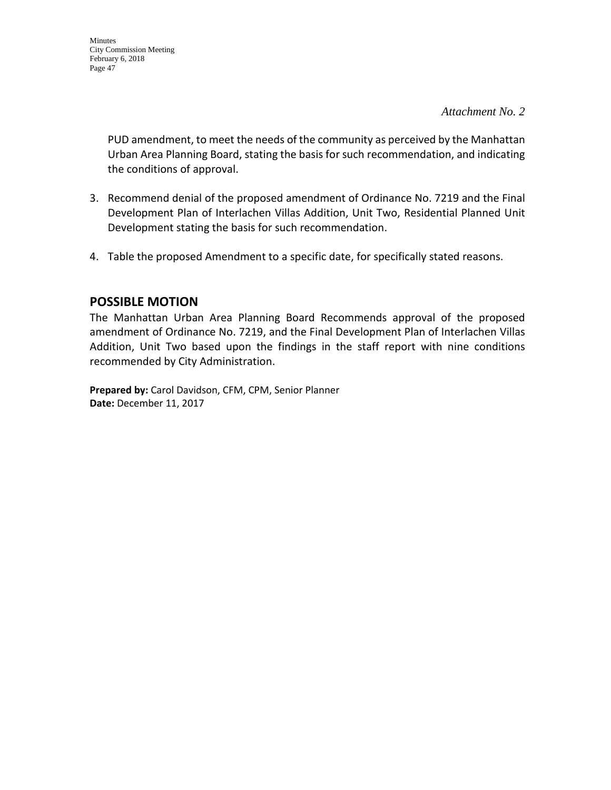*Attachment No. 2*

PUD amendment, to meet the needs of the community as perceived by the Manhattan Urban Area Planning Board, stating the basis for such recommendation, and indicating the conditions of approval.

- 3. Recommend denial of the proposed amendment of Ordinance No. 7219 and the Final Development Plan of Interlachen Villas Addition, Unit Two, Residential Planned Unit Development stating the basis for such recommendation.
- 4. Table the proposed Amendment to a specific date, for specifically stated reasons.

## **POSSIBLE MOTION**

The Manhattan Urban Area Planning Board Recommends approval of the proposed amendment of Ordinance No. 7219, and the Final Development Plan of Interlachen Villas Addition, Unit Two based upon the findings in the staff report with nine conditions recommended by City Administration.

**Prepared by:** Carol Davidson, CFM, CPM, Senior Planner **Date:** December 11, 2017